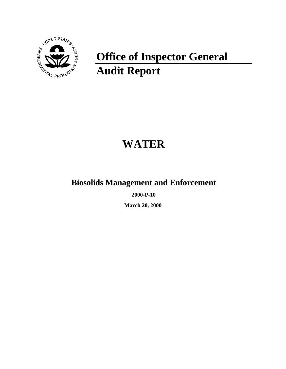

# **Office of Inspector General Audit Report**

# **WATER**

# **Biosolids Management and Enforcement**

**2000-P-10**

**March 20, 2000**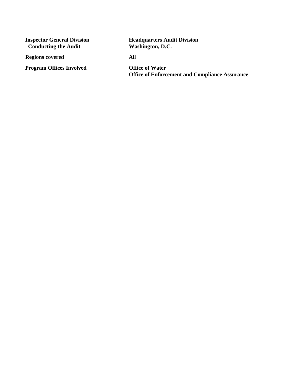**Inspector General Division Conducting the Audit**

**Regions covered All**

**Program Offices Involved Office of Water** 

**Headquarters Audit Division Washington, D.C.**

**Office of Enforcement and Compliance Assurance**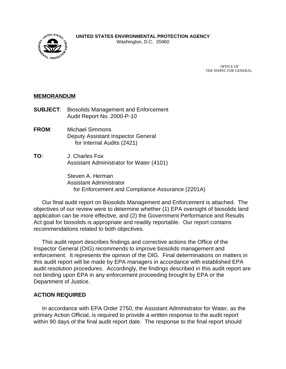

Washington, D.C. 20460

OFFICE OF THE INSPECTOR GENERAL

### **MEMORANDUM**

**SUBJECT**: Biosolids Management and Enforcement Audit Report No. 2000-P-10

- **FROM**: Michael Simmons Deputy Assistant Inspector General for Internal Audits (2421)
- **TO**: J. Charles Fox Assistant Administrator for Water (4101)

Steven A. Herman Assistant Administrator for Enforcement and Compliance Assurance (2201A)

Our final audit report on Biosolids Management and Enforcement is attached. The objectives of our review were to determine whether (1) EPA oversight of biosolids land application can be more effective, and (2) the Government Performance and Results Act goal for biosolids is appropriate and readily reportable. Our report contains recommendations related to both objectives.

This audit report describes findings and corrective actions the Office of the Inspector General (OIG) recommends to improve biosolids management and enforcement. It represents the opinion of the OIG. Final determinations on matters in this audit report will be made by EPA managers in accordance with established EPA audit resolution procedures. Accordingly, the findings described in this audit report are not binding upon EPA in any enforcement proceeding brought by EPA or the Department of Justice.

## **ACTION REQUIRED**

In accordance with EPA Order 2750, the Assistant Administrator for Water, as the primary Action Official, is required to provide a written response to the audit report within 90 days of the final audit report date. The response to the final report should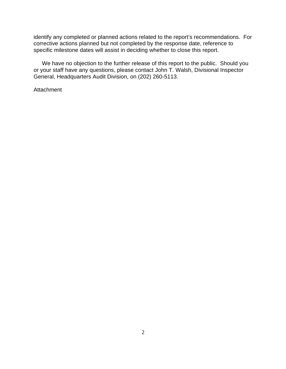identify any completed or planned actions related to the report's recommendations. For corrective actions planned but not completed by the response date, reference to specific milestone dates will assist in deciding whether to close this report.

We have no objection to the further release of this report to the public. Should you or your staff have any questions, please contact John T. Walsh, Divisional Inspector General, Headquarters Audit Division, on (202) 260-5113.

**Attachment**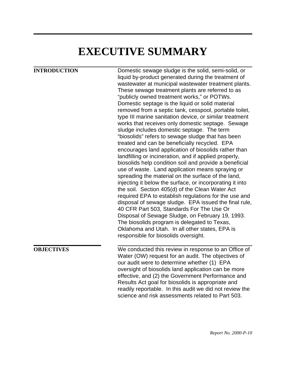# **EXECUTIVE SUMMARY**

| <b>INTRODUCTION</b> | Domestic sewage sludge is the solid, semi-solid, or<br>liquid by-product generated during the treatment of<br>wastewater at municipal wastewater treatment plants.<br>These sewage treatment plants are referred to as<br>"publicly owned treatment works," or POTWs.<br>Domestic septage is the liquid or solid material<br>removed from a septic tank, cesspool, portable toilet,<br>type III marine sanitation device, or similar treatment<br>works that receives only domestic septage. Sewage<br>sludge includes domestic septage. The term<br>"biosolids" refers to sewage sludge that has been<br>treated and can be beneficially recycled. EPA<br>encourages land application of biosolids rather than<br>landfilling or incineration, and if applied properly,<br>biosolids help condition soil and provide a beneficial<br>use of waste. Land application means spraying or<br>spreading the material on the surface of the land,<br>injecting it below the surface, or incorporating it into<br>the soil. Section 405(d) of the Clean Water Act<br>required EPA to establish regulations for the use and<br>disposal of sewage sludge. EPA issued the final rule,<br>40 CFR Part 503, Standards For The Use Or<br>Disposal of Sewage Sludge, on February 19, 1993.<br>The biosolids program is delegated to Texas,<br>Oklahoma and Utah. In all other states, EPA is<br>responsible for biosolids oversight. |
|---------------------|--------------------------------------------------------------------------------------------------------------------------------------------------------------------------------------------------------------------------------------------------------------------------------------------------------------------------------------------------------------------------------------------------------------------------------------------------------------------------------------------------------------------------------------------------------------------------------------------------------------------------------------------------------------------------------------------------------------------------------------------------------------------------------------------------------------------------------------------------------------------------------------------------------------------------------------------------------------------------------------------------------------------------------------------------------------------------------------------------------------------------------------------------------------------------------------------------------------------------------------------------------------------------------------------------------------------------------------------------------------------------------------------------------------------------|
| <b>OBJECTIVES</b>   | We conducted this review in response to an Office of<br>Water (OW) request for an audit. The objectives of<br>our audit were to determine whether (1) EPA<br>oversight of biosolids land application can be more<br>effective, and (2) the Government Performance and<br>Results Act goal for biosolids is appropriate and<br>readily reportable. In this audit we did not review the<br>science and risk assessments related to Part 503.                                                                                                                                                                                                                                                                                                                                                                                                                                                                                                                                                                                                                                                                                                                                                                                                                                                                                                                                                                               |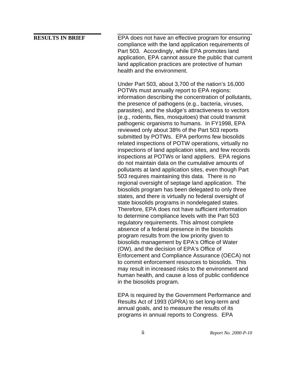**RESULTS IN BRIEF** EPA does not have an effective program for ensuring compliance with the land application requirements of Part 503. Accordingly, while EPA promotes land application, EPA cannot assure the public that current land application practices are protective of human health and the environment.

> Under Part 503, about 3,700 of the nation's 16,000 POTWs must annually report to EPA regions: information describing the concentration of pollutants, the presence of pathogens (e.g., bacteria, viruses, parasites), and the sludge's attractiveness to vectors (e.g., rodents, flies, mosquitoes) that could transmit pathogenic organisms to humans. In FY1998, EPA reviewed only about 38% of the Part 503 reports submitted by POTWs. EPA performs few biosolids related inspections of POTW operations, virtually no inspections of land application sites, and few records inspections at POTWs or land appliers. EPA regions do not maintain data on the cumulative amounts of pollutants at land application sites, even though Part 503 requires maintaining this data. There is no regional oversight of septage land application. The biosolids program has been delegated to only three states, and there is virtually no federal oversight of state biosolids programs in nondelegated states. Therefore, EPA does not have sufficient information to determine compliance levels with the Part 503 regulatory requirements. This almost complete absence of a federal presence in the biosolids program results from the low priority given to biosolids management by EPA's Office of Water (OW), and the decision of EPA's Office of Enforcement and Compliance Assurance (OECA) not to commit enforcement resources to biosolids. This may result in increased risks to the environment and human health, and cause a loss of public confidence in the biosolids program.

> EPA is required by the Government Performance and Results Act of 1993 (GPRA) to set long-term and annual goals, and to measure the results of its programs in annual reports to Congress. EPA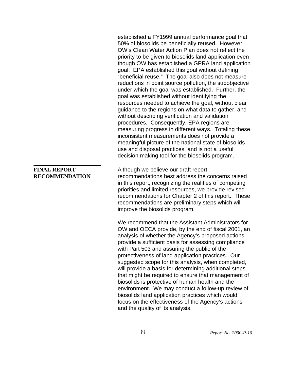established a FY1999 annual performance goal that 50% of biosolids be beneficially reused. However, OW's Clean Water Action Plan does not reflect the priority to be given to biosolids land application even though OW has established a GPRA land application goal. EPA established this goal without defining "beneficial reuse." The goal also does not measure reductions in point source pollution, the subobjective under which the goal was established. Further, the goal was established without identifying the resources needed to achieve the goal, without clear guidance to the regions on what data to gather, and without describing verification and validation procedures. Consequently, EPA regions are measuring progress in different ways. Totaling these inconsistent measurements does not provide a meaningful picture of the national state of biosolids use and disposal practices, and is not a useful decision making tool for the biosolids program.

**FINAL REPORT** Although we believe our draft report **RECOMMENDATION** recommendations best address the concerns raised in this report, recognizing the realities of competing priorities and limited resources, we provide revised recommendations for Chapter 2 of this report. These recommendations are preliminary steps which will improve the biosolids program.

> We recommend that the Assistant Administrators for OW and OECA provide, by the end of fiscal 2001, an analysis of whether the Agency's proposed actions provide a sufficient basis for assessing compliance with Part 503 and assuring the public of the protectiveness of land application practices. Our suggested scope for this analysis, when completed, will provide a basis for determining additional steps that might be required to ensure that management of biosolids is protective of human health and the environment. We may conduct a follow-up review of biosolids land application practices which would focus on the effectiveness of the Agency's actions and the quality of its analysis.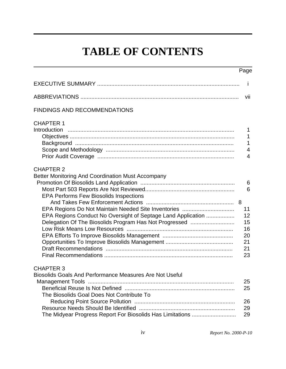# **TABLE OF CONTENTS**

|                                                              | Page           |
|--------------------------------------------------------------|----------------|
|                                                              |                |
|                                                              | Vii            |
| <b>FINDINGS AND RECOMMENDATIONS</b>                          |                |
| <b>CHAPTER 1</b>                                             |                |
|                                                              | 1              |
|                                                              | 1              |
|                                                              | $\mathbf{1}$   |
|                                                              | $\overline{4}$ |
|                                                              | $\overline{4}$ |
| <b>CHAPTER 2</b>                                             |                |
| Better Monitoring And Coordination Must Accompany            |                |
|                                                              | 6              |
|                                                              | 6              |
| <b>EPA Performs Few Biosolids Inspections</b>                |                |
|                                                              |                |
| EPA Regions Do Not Maintain Needed Site Inventories          | 11             |
| EPA Regions Conduct No Oversight of Septage Land Application | 12             |
| Delegation Of The Biosolids Program Has Not Progressed       | 15             |
|                                                              | 16             |
|                                                              | 20             |
|                                                              | 21             |
|                                                              | 21             |
|                                                              | 23             |
| <b>CHAPTER 3</b>                                             |                |
| Biosolids Goals And Performance Measures Are Not Useful      |                |
|                                                              | 25             |
|                                                              | 25             |
| The Biosolids Goal Does Not Contribute To                    |                |
|                                                              | 26             |
|                                                              | 29             |
| The Midyear Progress Report For Biosolids Has Limitations    | 29             |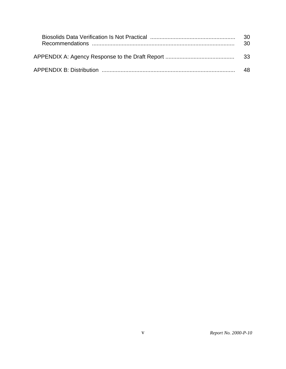| 30<br>30. |
|-----------|
| 33        |
| 48.       |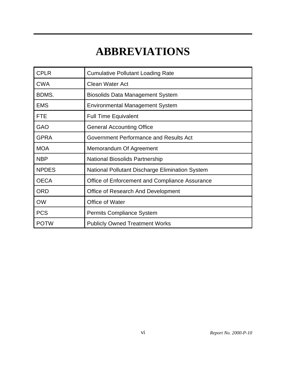# **ABBREVIATIONS**

| <b>CPLR</b>  | <b>Cumulative Pollutant Loading Rate</b>        |
|--------------|-------------------------------------------------|
| <b>CWA</b>   | <b>Clean Water Act</b>                          |
| BDMS.        | <b>Biosolids Data Management System</b>         |
| <b>EMS</b>   | <b>Environmental Management System</b>          |
| <b>FTE</b>   | <b>Full Time Equivalent</b>                     |
| <b>GAO</b>   | <b>General Accounting Office</b>                |
| <b>GPRA</b>  | Government Performance and Results Act          |
| <b>MOA</b>   | Memorandum Of Agreement                         |
| <b>NBP</b>   | <b>National Biosolids Partnership</b>           |
| <b>NPDES</b> | National Pollutant Discharge Elimination System |
| <b>OECA</b>  | Office of Enforcement and Compliance Assurance  |
| <b>ORD</b>   | Office of Research And Development              |
| <b>OW</b>    | Office of Water                                 |
| <b>PCS</b>   | <b>Permits Compliance System</b>                |
| <b>POTW</b>  | <b>Publicly Owned Treatment Works</b>           |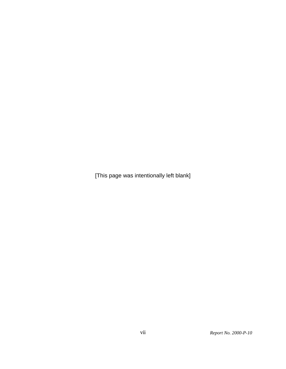[This page was intentionally left blank]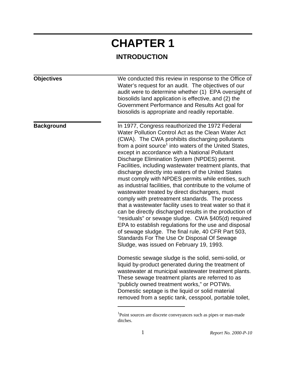# **CHAPTER 1**

# **INTRODUCTION**

| <b>Background</b><br>In 1977, Congress reauthorized the 1972 Federal<br>Water Pollution Control Act as the Clean Water Act<br>(CWA). The CWA prohibits discharging pollutants<br>from a point source <sup>1</sup> into waters of the United States,<br>except in accordance with a National Pollutant<br>Discharge Elimination System (NPDES) permit.<br>Facilities, including wastewater treatment plants, that<br>discharge directly into waters of the United States<br>must comply with NPDES permits while entities, such<br>as industrial facilities, that contribute to the volume of<br>wastewater treated by direct dischargers, must<br>comply with pretreatment standards. The process<br>that a wastewater facility uses to treat water so that it<br>can be directly discharged results in the production of<br>"residuals" or sewage sludge. CWA §405(d) required<br>EPA to establish regulations for the use and disposal<br>of sewage sludge. The final rule, 40 CFR Part 503,<br>Standards For The Use Or Disposal Of Sewage<br>Sludge, was issued on February 19, 1993.<br>Domestic sewage sludge is the solid, semi-solid, or<br>liquid by-product generated during the treatment of<br>wastewater at municipal wastewater treatment plants.<br>These sewage treatment plants are referred to as<br>"publicly owned treatment works," or POTWs.<br>Domestic septage is the liquid or solid material<br>removed from a septic tank, cesspool, portable toilet, |
|----------------------------------------------------------------------------------------------------------------------------------------------------------------------------------------------------------------------------------------------------------------------------------------------------------------------------------------------------------------------------------------------------------------------------------------------------------------------------------------------------------------------------------------------------------------------------------------------------------------------------------------------------------------------------------------------------------------------------------------------------------------------------------------------------------------------------------------------------------------------------------------------------------------------------------------------------------------------------------------------------------------------------------------------------------------------------------------------------------------------------------------------------------------------------------------------------------------------------------------------------------------------------------------------------------------------------------------------------------------------------------------------------------------------------------------------------------------------------------|

<sup>&</sup>lt;sup>1</sup>Point sources are discrete conveyances such as pipes or man-made ditches.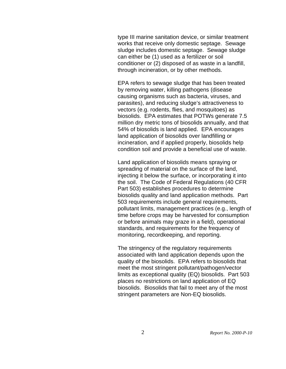type III marine sanitation device, or similar treatment works that receive only domestic septage. Sewage sludge includes domestic septage. Sewage sludge can either be (1) used as a fertilizer or soil conditioner or (2) disposed of as waste in a landfill, through incineration, or by other methods.

EPA refers to sewage sludge that has been treated by removing water, killing pathogens (disease causing organisms such as bacteria, viruses, and parasites), and reducing sludge's attractiveness to vectors (e.g. rodents, flies, and mosquitoes) as biosolids. EPA estimates that POTWs generate 7.5 million dry metric tons of biosolids annually, and that 54% of biosolids is land applied. EPA encourages land application of biosolids over landfilling or incineration, and if applied properly, biosolids help condition soil and provide a beneficial use of waste.

Land application of biosolids means spraying or spreading of material on the surface of the land, injecting it below the surface, or incorporating it into the soil. The Code of Federal Regulations (40 CFR Part 503) establishes procedures to determine biosolids quality and land application methods. Part 503 requirements include general requirements, pollutant limits, management practices (e.g., length of time before crops may be harvested for consumption or before animals may graze in a field), operational standards, and requirements for the frequency of monitoring, recordkeeping, and reporting.

The stringency of the regulatory requirements associated with land application depends upon the quality of the biosolids. EPA refers to biosolids that meet the most stringent pollutant/pathogen/vector limits as exceptional quality (EQ) biosolids. Part 503 places no restrictions on land application of EQ biosolids. Biosolids that fail to meet any of the most stringent parameters are Non-EQ biosolids.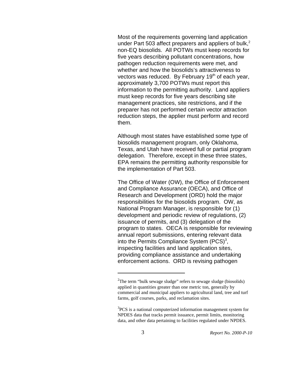Most of the requirements governing land application under Part 503 affect preparers and appliers of bulk, $^2$ non-EQ biosolids. All POTWs must keep records for five years describing pollutant concentrations, how pathogen reduction requirements were met, and whether and how the biosolids's attractiveness to vectors was reduced. By February  $19<sup>th</sup>$  of each year, approximately 3,700 POTWs must report this information to the permitting authority. Land appliers must keep records for five years describing site management practices, site restrictions, and if the preparer has not performed certain vector attraction reduction steps, the applier must perform and record them.

Although most states have established some type of biosolids management program, only Oklahoma, Texas, and Utah have received full or partial program delegation. Therefore, except in these three states, EPA remains the permitting authority responsible for the implementation of Part 503.

The Office of Water (OW), the Office of Enforcement and Compliance Assurance (OECA), and Office of Research and Development (ORD) hold the major responsibilities for the biosolids program. OW, as National Program Manager, is responsible for (1) development and periodic review of regulations, (2) issuance of permits, and (3) delegation of the program to states. OECA is responsible for reviewing annual report submissions, entering relevant data into the Permits Compliance System (PCS) $3$ , inspecting facilities and land application sites, providing compliance assistance and undertaking enforcement actions. ORD is revising pathogen

<sup>&</sup>lt;sup>2</sup>The term "bulk sewage sludge" refers to sewage sludge (biosolids) applied in quantities greater than one metric ton, generally by commercial and municipal appliers to agricultural land, tree and turf farms, golf courses, parks, and reclamation sites.

 $3PCS$  is a national computerized information management system for NPDES data that tracks permit issuance, permit limits, monitoring data, and other data pertaining to facilities regulated under NPDES.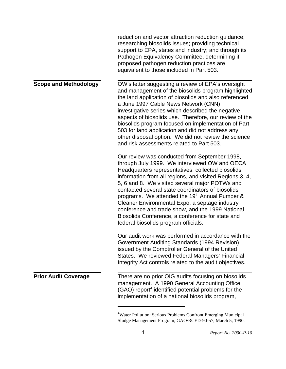reduction and vector attraction reduction guidance; researching biosolids issues; providing technical support to EPA, states and industry; and through its Pathogen Equivalency Committee, determining if proposed pathogen reduction practices are equivalent to those included in Part 503. **Scope and Methodology OW's letter suggesting a review of EPA's oversight** and management of the biosolids program highlighted the land application of biosolids and also referenced a June 1997 Cable News Network (CNN) investigative series which described the negative aspects of biosolids use. Therefore, our review of the biosolids program focused on implementation of Part 503 for land application and did not address any other disposal option. We did not review the science and risk assessments related to Part 503. Our review was conducted from September 1998, through July 1999. We interviewed OW and OECA Headquarters representatives, collected biosolids information from all regions, and visited Regions 3, 4, 5, 6 and 8. We visited several major POTWs and contacted several state coordinators of biosolids programs. We attended the 19<sup>th</sup> Annual Pumper  $\&$ Cleaner Environmental Expo, a septage industry conference and trade show, and the 1999 National Biosolids Conference, a conference for state and federal biosolids program officials. Our audit work was performed in accordance with the Government Auditing Standards (1994 Revision) issued by the Comptroller General of the United States. We reviewed Federal Managers' Financial Integrity Act controls related to the audit objectives. **Prior Audit Coverage** There are no prior OIG audits focusing on biosolids management. A 1990 General Accounting Office (GAO) report<sup>4</sup> identified potential problems for the implementation of a national biosolids program,

<sup>&</sup>lt;sup>4</sup>Water Pollution: Serious Problems Confront Emerging Municipal Sludge Management Program, GAO/RCED-90-57, March 5, 1990.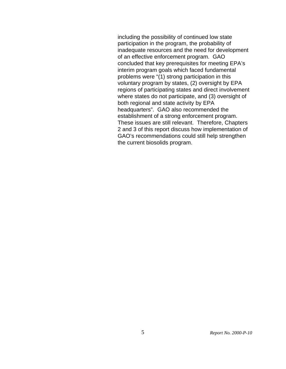including the possibility of continued low state participation in the program, the probability of inadequate resources and the need for development of an effective enforcement program. GAO concluded that key prerequisites for meeting EPA's interim program goals which faced fundamental problems were "(1) strong participation in this voluntary program by states, (2) oversight by EPA regions of participating states and direct involvement where states do not participate, and (3) oversight of both regional and state activity by EPA headquarters". GAO also recommended the establishment of a strong enforcement program. These issues are still relevant. Therefore, Chapters 2 and 3 of this report discuss how implementation of GAO's recommendations could still help strengthen the current biosolids program.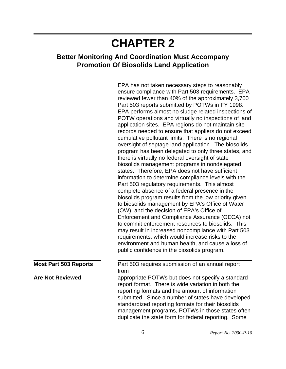# **CHAPTER 2**

# **Better Monitoring And Coordination Must Accompany Promotion Of Biosolids Land Application**

|                              | EPA has not taken necessary steps to reasonably<br>ensure compliance with Part 503 requirements. EPA<br>reviewed fewer than 40% of the approximately 3,700<br>Part 503 reports submitted by POTWs in FY 1998.<br>EPA performs almost no sludge related inspections of<br>POTW operations and virtually no inspections of land<br>application sites. EPA regions do not maintain site<br>records needed to ensure that appliers do not exceed<br>cumulative pollutant limits. There is no regional<br>oversight of septage land application. The biosolids<br>program has been delegated to only three states, and<br>there is virtually no federal oversight of state<br>biosolids management programs in nondelegated<br>states. Therefore, EPA does not have sufficient<br>information to determine compliance levels with the<br>Part 503 regulatory requirements. This almost<br>complete absence of a federal presence in the<br>biosolids program results from the low priority given<br>to biosolids management by EPA's Office of Water<br>(OW), and the decision of EPA's Office of<br>Enforcement and Compliance Assurance (OECA) not<br>to commit enforcement resources to biosolids. This<br>may result in increased noncompliance with Part 503<br>requirements, which would increase risks to the<br>environment and human health, and cause a loss of<br>public confidence in the biosolids program. |
|------------------------------|---------------------------------------------------------------------------------------------------------------------------------------------------------------------------------------------------------------------------------------------------------------------------------------------------------------------------------------------------------------------------------------------------------------------------------------------------------------------------------------------------------------------------------------------------------------------------------------------------------------------------------------------------------------------------------------------------------------------------------------------------------------------------------------------------------------------------------------------------------------------------------------------------------------------------------------------------------------------------------------------------------------------------------------------------------------------------------------------------------------------------------------------------------------------------------------------------------------------------------------------------------------------------------------------------------------------------------------------------------------------------------------------------------------------|
| <b>Most Part 503 Reports</b> | Part 503 requires submission of an annual report<br>from                                                                                                                                                                                                                                                                                                                                                                                                                                                                                                                                                                                                                                                                                                                                                                                                                                                                                                                                                                                                                                                                                                                                                                                                                                                                                                                                                            |
| <b>Are Not Reviewed</b>      | appropriate POTWs but does not specify a standard<br>report format. There is wide variation in both the<br>reporting formats and the amount of information<br>submitted. Since a number of states have developed<br>standardized reporting formats for their biosolids<br>management programs, POTWs in those states often<br>duplicate the state form for federal reporting. Some                                                                                                                                                                                                                                                                                                                                                                                                                                                                                                                                                                                                                                                                                                                                                                                                                                                                                                                                                                                                                                  |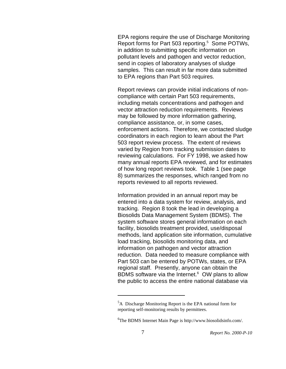EPA regions require the use of Discharge Monitoring Report forms for Part 503 reporting.<sup>5</sup> Some POTWs, in addition to submitting specific information on pollutant levels and pathogen and vector reduction, send in copies of laboratory analyses of sludge samples. This can result in far more data submitted to EPA regions than Part 503 requires.

Report reviews can provide initial indications of noncompliance with certain Part 503 requirements, including metals concentrations and pathogen and vector attraction reduction requirements. Reviews may be followed by more information gathering, compliance assistance, or, in some cases, enforcement actions. Therefore, we contacted sludge coordinators in each region to learn about the Part 503 report review process. The extent of reviews varied by Region from tracking submission dates to reviewing calculations. For FY 1998, we asked how many annual reports EPA reviewed, and for estimates of how long report reviews took. Table 1 (see page 8) summarizes the responses, which ranged from no reports reviewed to all reports reviewed.

Information provided in an annual report may be entered into a data system for review, analysis, and tracking. Region 8 took the lead in developing a Biosolids Data Management System (BDMS). The system software stores general information on each facility, biosolids treatment provided, use/disposal methods, land application site information, cumulative load tracking, biosolids monitoring data, and information on pathogen and vector attraction reduction. Data needed to measure compliance with Part 503 can be entered by POTWs, states, or EPA regional staff. Presently, anyone can obtain the BDMS software via the Internet. $6$  OW plans to allow the public to access the entire national database via

<sup>&</sup>lt;sup>5</sup>A Discharge Monitoring Report is the EPA national form for reporting self-monitoring results by permittees.

<sup>6</sup> The BDMS Internet Main Page is http://www.biosolidsinfo.com/.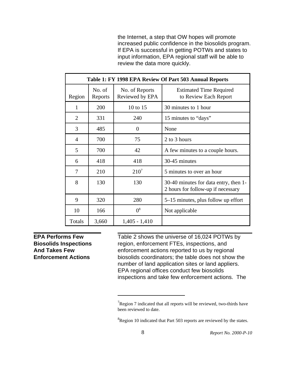the Internet, a step that OW hopes will promote increased public confidence in the biosolids program. If EPA is successful in getting POTWs and states to input information, EPA regional staff will be able to review the data more quickly.

| Table 1: FY 1998 EPA Review Of Part 503 Annual Reports |                   |                                   |                                                                             |
|--------------------------------------------------------|-------------------|-----------------------------------|-----------------------------------------------------------------------------|
| Region                                                 | No. of<br>Reports | No. of Reports<br>Reviewed by EPA | <b>Estimated Time Required</b><br>to Review Each Report                     |
| 1                                                      | 200               | 10 to 15                          | 30 minutes to 1 hour                                                        |
| $\overline{2}$                                         | 331               | 240                               | 15 minutes to "days"                                                        |
| 3                                                      | 485               | $\Omega$                          | None                                                                        |
| 4                                                      | 700               | 75                                | 2 to 3 hours                                                                |
| 5                                                      | 700               | 42                                | A few minutes to a couple hours.                                            |
| 6                                                      | 418               | 418                               | 30-45 minutes                                                               |
| 7                                                      | 210               | $210^{7}$                         | 5 minutes to over an hour                                                   |
| 8                                                      | 130               | 130                               | 30-40 minutes for data entry, then 1-<br>2 hours for follow-up if necessary |
| 9                                                      | 320               | 280                               | 5–15 minutes, plus follow up effort                                         |
| 10                                                     | 166               | $0^8$                             | Not applicable                                                              |
| Totals                                                 | 3,660             | $1,405 - 1,410$                   |                                                                             |

**EPA Performs Few Table 2 shows the universe of 16,024 POTWs by Biosolids Inspections** region, enforcement FTEs, inspections, and And Takes Few enforcement actions reported to us by regional **Enforcement Actions** biosolids coordinators; the table does not show the number of land application sites or land appliers. EPA regional offices conduct few biosolids inspections and take few enforcement actions. The

 $7$ Region 7 indicated that all reports will be reviewed, two-thirds have been reviewed to date.

 ${}^{8}$ Region 10 indicated that Part 503 reports are reviewed by the states.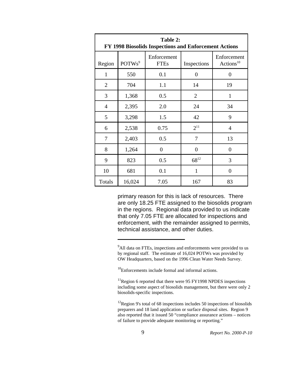| Table 2:<br>FY 1998 Biosolids Inspections and Enforcement Actions |                    |                            |                  |                                      |
|-------------------------------------------------------------------|--------------------|----------------------------|------------------|--------------------------------------|
| Region                                                            | POTWs <sup>9</sup> | Enforcement<br><b>FTEs</b> | Inspections      | Enforcement<br>Actions <sup>10</sup> |
| $\mathbf{1}$                                                      | 550                | 0.1                        | $\boldsymbol{0}$ | $\boldsymbol{0}$                     |
| $\overline{2}$                                                    | 704                | 1.1                        | 14               | 19                                   |
| 3                                                                 | 1,368              | 0.5                        | $\overline{2}$   | $\mathbf{1}$                         |
| $\overline{4}$                                                    | 2,395              | 2.0                        | 24               | 34                                   |
| 5                                                                 | 3,298              | 1.5                        | 42               | 9                                    |
| 6                                                                 | 2,538              | 0.75                       | $2^{11}$         | $\overline{4}$                       |
| 7                                                                 | 2,403              | 0.5                        | 7                | 13                                   |
| 8                                                                 | 1,264              | $\overline{0}$             | $\overline{0}$   | $\overline{0}$                       |
| 9                                                                 | 823                | 0.5                        | $68^{12}$        | 3                                    |
| 10                                                                | 681                | 0.1                        | $\mathbf{1}$     | $\overline{0}$                       |
| Totals                                                            | 16,024             | 7.05                       | 167              | 83                                   |

primary reason for this is lack of resources. There are only 18.25 FTE assigned to the biosolids program in the regions. Regional data provided to us indicate that only 7.05 FTE are allocated for inspections and enforcement, with the remainder assigned to permits, technical assistance, and other duties.

<sup>&</sup>lt;sup>9</sup>All data on FTEs, inspections and enforcements were provided to us by regional staff. The estimate of 16,024 POTWs was provided by OW Headquarters, based on the 1996 Clean Water Needs Survey.

<sup>&</sup>lt;sup>10</sup>Enforcements include formal and informal actions.

 $11$ Region 6 reported that there were 95 FY1998 NPDES inspections including some aspect of biosolids management, but there were only 2 biosolids-specific inspections.

 $12$ Region 9's total of 68 inspections includes 50 inspections of biosolids preparers and 18 land application or surface disposal sites. Region 9 also reported that it issued 50 "compliance assurance actions – notices of failure to provide adequate monitoring or reporting."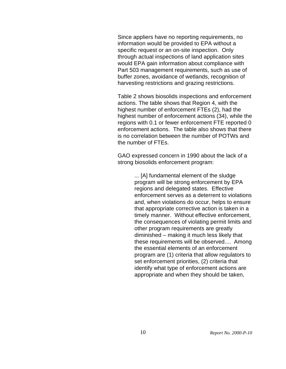Since appliers have no reporting requirements, no information would be provided to EPA without a specific request or an on-site inspection. Only through actual inspections of land application sites would EPA gain information about compliance with Part 503 management requirements, such as use of buffer zones, avoidance of wetlands, recognition of harvesting restrictions and grazing restrictions.

Table 2 shows biosolids inspections and enforcement actions. The table shows that Region 4, with the highest number of enforcement FTEs (2), had the highest number of enforcement actions (34), while the regions with 0.1 or fewer enforcement FTE reported 0 enforcement actions. The table also shows that there is no correlation between the number of POTWs and the number of FTEs.

GAO expressed concern in 1990 about the lack of a strong biosolids enforcement program:

> ... [A] fundamental element of the sludge program will be strong enforcement by EPA regions and delegated states. Effective enforcement serves as a deterrent to violations and, when violations do occur, helps to ensure that appropriate corrective action is taken in a timely manner. Without effective enforcement, the consequences of violating permit limits and other program requirements are greatly diminished – making it much less likely that these requirements will be observed.... Among the essential elements of an enforcement program are (1) criteria that allow regulators to set enforcement priorities, (2) criteria that identify what type of enforcement actions are appropriate and when they should be taken,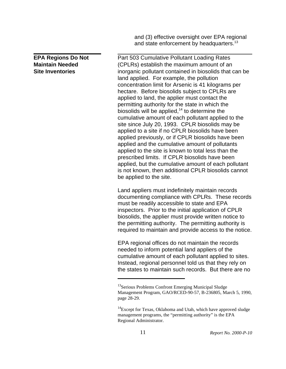and (3) effective oversight over EPA regional and state enforcement by headquarters.<sup>13</sup>

**EPA Regions Do Not** Part 503 Cumulative Pollutant Loading Rates **Maintain Needed** (CPLRs) establish the maximum amount of an **Site Inventories** inorganic pollutant contained in biosolids that can be land applied. For example, the pollution concentration limit for Arsenic is 41 kilograms per hectare. Before biosolids subject to CPLRs are applied to land, the applier must contact the permitting authority for the state in which the biosolids will be applied, $14$  to determine the cumulative amount of each pollutant applied to the site since July 20, 1993. CPLR biosolids may be applied to a site if no CPLR biosolids have been applied previously, or if CPLR biosolids have been applied and the cumulative amount of pollutants applied to the site is known to total less than the prescribed limits. If CPLR biosolids have been applied, but the cumulative amount of each pollutant is not known, then additional CPLR biosolids cannot be applied to the site.

> Land appliers must indefinitely maintain records documenting compliance with CPLRs. These records must be readily accessible to state and EPA inspectors. Prior to the initial application of CPLR biosolids, the applier must provide written notice to the permitting authority. The permitting authority is required to maintain and provide access to the notice.

EPA regional offices do not maintain the records needed to inform potential land appliers of the cumulative amount of each pollutant applied to sites. Instead, regional personnel told us that they rely on the states to maintain such records. But there are no

<sup>&</sup>lt;sup>13</sup>Serious Problems Confront Emerging Municipal Sludge Management Program, GAO/RCED-90-57, B-236805, March 5, 1990, page 28-29.

 $14$ Except for Texas, Oklahoma and Utah, which have approved sludge management programs, the "permitting authority" is the EPA Regional Administrator.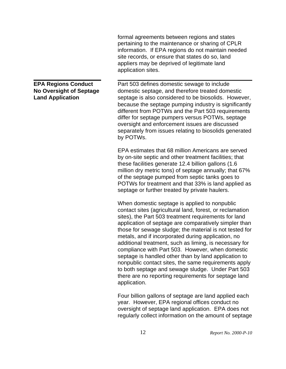formal agreements between regions and states pertaining to the maintenance or sharing of CPLR information. If EPA regions do not maintain needed site records, or ensure that states do so, land appliers may be deprived of legitimate land application sites.

**EPA Regions Conduct** Part 503 defines domestic sewage to include **No Oversight of Septage** domestic septage, and therefore treated domestic Land Application septage is also considered to be biosolids. However, because the septage pumping industry is significantly different from POTWs and the Part 503 requirements differ for septage pumpers versus POTWs, septage oversight and enforcement issues are discussed separately from issues relating to biosolids generated by POTWs.

> EPA estimates that 68 million Americans are served by on-site septic and other treatment facilities; that these facilities generate 12.4 billion gallons (1.6 million dry metric tons) of septage annually; that 67% of the septage pumped from septic tanks goes to POTWs for treatment and that 33% is land applied as septage or further treated by private haulers.

> When domestic septage is applied to nonpublic contact sites (agricultural land, forest, or reclamation sites), the Part 503 treatment requirements for land application of septage are comparatively simpler than those for sewage sludge; the material is not tested for metals, and if incorporated during application, no additional treatment, such as liming, is necessary for compliance with Part 503. However, when domestic septage is handled other than by land application to nonpublic contact sites, the same requirements apply to both septage and sewage sludge. Under Part 503 there are no reporting requirements for septage land application.

> Four billion gallons of septage are land applied each year. However, EPA regional offices conduct no oversight of septage land application. EPA does not regularly collect information on the amount of septage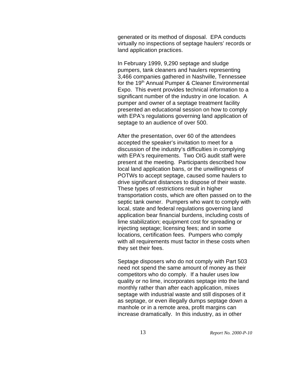generated or its method of disposal. EPA conducts virtually no inspections of septage haulers' records or land application practices.

In February 1999, 9,290 septage and sludge pumpers, tank cleaners and haulers representing 3,466 companies gathered in Nashville, Tennessee for the 19<sup>th</sup> Annual Pumper & Cleaner Environmental Expo. This event provides technical information to a significant number of the industry in one location. A pumper and owner of a septage treatment facility presented an educational session on how to comply with EPA's regulations governing land application of septage to an audience of over 500.

After the presentation, over 60 of the attendees accepted the speaker's invitation to meet for a discussion of the industry's difficulties in complying with EPA's requirements. Two OIG audit staff were present at the meeting. Participants described how local land application bans, or the unwillingness of POTWs to accept septage, caused some haulers to drive significant distances to dispose of their waste. These types of restrictions result in higher transportation costs, which are often passed on to the septic tank owner. Pumpers who want to comply with local, state and federal regulations governing land application bear financial burdens, including costs of lime stabilization; equipment cost for spreading or injecting septage; licensing fees; and in some locations, certification fees. Pumpers who comply with all requirements must factor in these costs when they set their fees.

Septage disposers who do not comply with Part 503 need not spend the same amount of money as their competitors who do comply. If a hauler uses low quality or no lime, incorporates septage into the land monthly rather than after each application, mixes septage with industrial waste and still disposes of it as septage, or even illegally dumps septage down a manhole or in a remote area, profit margins can increase dramatically. In this industry, as in other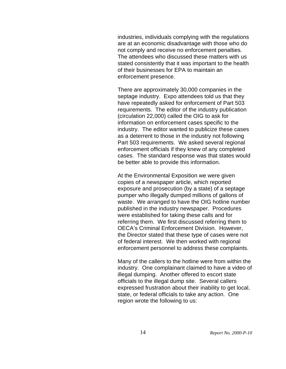industries, individuals complying with the regulations are at an economic disadvantage with those who do not comply and receive no enforcement penalties. The attendees who discussed these matters with us stated consistently that it was important to the health of their businesses for EPA to maintain an enforcement presence.

There are approximately 30,000 companies in the septage industry. Expo attendees told us that they have repeatedly asked for enforcement of Part 503 requirements. The editor of the industry publication (circulation 22,000) called the OIG to ask for information on enforcement cases specific to the industry. The editor wanted to publicize these cases as a deterrent to those in the industry not following Part 503 requirements. We asked several regional enforcement officials if they knew of any completed cases. The standard response was that states would be better able to provide this information.

At the Environmental Exposition we were given copies of a newspaper article, which reported exposure and prosecution (by a state) of a septage pumper who illegally dumped millions of gallons of waste. We arranged to have the OIG hotline number published in the industry newspaper. Procedures were established for taking these calls and for referring them. We first discussed referring them to OECA's Criminal Enforcement Division. However, the Director stated that these type of cases were not of federal interest. We then worked with regional enforcement personnel to address these complaints.

Many of the callers to the hotline were from within the industry. One complainant claimed to have a video of illegal dumping. Another offered to escort state officials to the illegal dump site. Several callers expressed frustration about their inability to get local, state, or federal officials to take any action. One region wrote the following to us: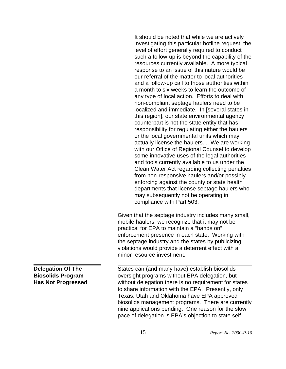It should be noted that while we are actively investigating this particular hotline request, the level of effort generally required to conduct such a follow-up is beyond the capability of the resources currently available. A more typical response to an issue of this nature would be our referral of the matter to local authorities and a follow-up call to those authorities within a month to six weeks to learn the outcome of any type of local action. Efforts to deal with non-compliant septage haulers need to be localized and immediate. In [several states in this region], our state environmental agency counterpart is not the state entity that has responsibility for regulating either the haulers or the local governmental units which may actually license the haulers.... We are working with our Office of Regional Counsel to develop some innovative uses of the legal authorities and tools currently available to us under the Clean Water Act regarding collecting penalties from non-responsive haulers and/or possibly enforcing against the county or state health departments that license septage haulers who may subsequently not be operating in compliance with Part 503.

Given that the septage industry includes many small, mobile haulers, we recognize that it may not be practical for EPA to maintain a "hands on" enforcement presence in each state. Working with the septage industry and the states by publicizing violations would provide a deterrent effect with a minor resource investment.

**Delegation Of The States can (and many have) establish biosolids Biosolids Program** oversight programs without EPA delegation, but **Has Not Progressed** without delegation there is no requirement for states to share information with the EPA. Presently, only Texas, Utah and Oklahoma have EPA approved biosolids management programs. There are currently nine applications pending. One reason for the slow pace of delegation is EPA's objection to state self-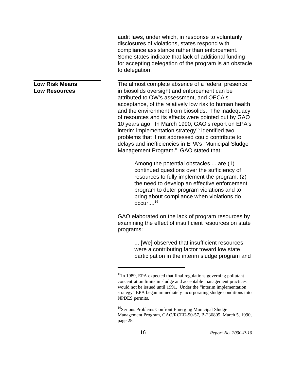audit laws, under which, in response to voluntarily disclosures of violations, states respond with compliance assistance rather than enforcement. Some states indicate that lack of additional funding for accepting delegation of the program is an obstacle to delegation.

**Low Risk Means** The almost complete absence of a federal presence **Low Resources** in biosolids oversight and enforcement can be attributed to OW's assessment, and OECA's acceptance, of the relatively low risk to human health and the environment from biosolids. The inadequacy of resources and its effects were pointed out by GAO 10 years ago. In March 1990, GAO's report on EPA's interim implementation strategy<sup>15</sup> identified two problems that if not addressed could contribute to delays and inefficiencies in EPA's "Municipal Sludge Management Program." GAO stated that:

> Among the potential obstacles ... are (1) continued questions over the sufficiency of resources to fully implement the program, (2) the need to develop an effective enforcement program to deter program violations and to bring about compliance when violations do occur....<sup>16</sup>

GAO elaborated on the lack of program resources by examining the effect of insufficient resources on state programs:

> ... [We] observed that insufficient resources were a contributing factor toward low state participation in the interim sludge program and

 $^{15}$ In 1989, EPA expected that final regulations governing pollutant concentration limits in sludge and acceptable management practices would not be issued until 1991. Under the "interim implementation strategy" EPA began immediately incorporating sludge conditions into NPDES permits.

<sup>&</sup>lt;sup>16</sup>Serious Problems Confront Emerging Municipal Sludge Management Program, GAO/RCED-90-57, B-236805, March 5, 1990, page 25.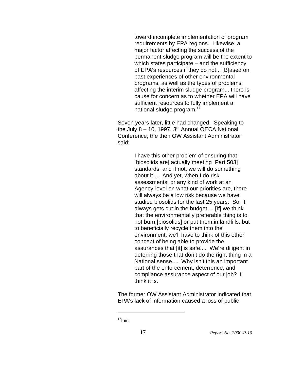toward incomplete implementation of program requirements by EPA regions. Likewise, a major factor affecting the success of the permanent sludge program will be the extent to which states participate – and the sufficiency of EPA's resources if they do not... [B]ased on past experiences of other environmental programs, as well as the types of problems affecting the interim sludge program... there is cause for concern as to whether EPA will have sufficient resources to fully implement a national sludge program.<sup>17</sup>

Seven years later, little had changed. Speaking to the July  $8 - 10$ , 1997,  $3<sup>rd</sup>$  Annual OECA National Conference, the then OW Assistant Administrator said:

> I have this other problem of ensuring that [biosolids are] actually meeting [Part 503] standards, and if not, we will do something about it.... And yet, when I do risk assessments, or any kind of work at an Agency-level on what our priorities are, there will always be a low risk because we have studied biosolids for the last 25 years. So, it always gets cut in the budget.... [If] we think that the environmentally preferable thing is to not burn [biosolids] or put them in landfills, but to beneficially recycle them into the environment, we'll have to think of this other concept of being able to provide the assurances that [it] is safe.... We're diligent in deterring those that don't do the right thing in a National sense.... Why isn't this an important part of the enforcement, deterrence, and compliance assurance aspect of our job? I think it is.

The former OW Assistant Administrator indicated that EPA's lack of information caused a loss of public

 $17$ Ibid.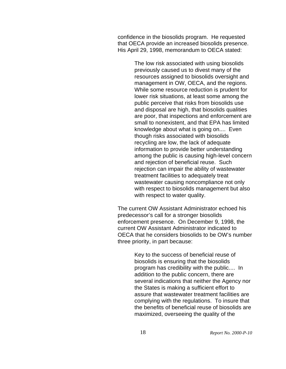confidence in the biosolids program. He requested that OECA provide an increased biosolids presence. His April 29, 1998, memorandum to OECA stated:

> The low risk associated with using biosolids previously caused us to divest many of the resources assigned to biosolids oversight and management in OW, OECA, and the regions. While some resource reduction is prudent for lower risk situations, at least some among the public perceive that risks from biosolids use and disposal are high, that biosolids qualities are poor, that inspections and enforcement are small to nonexistent, and that EPA has limited knowledge about what is going on.... Even though risks associated with biosolids recycling are low, the lack of adequate information to provide better understanding among the public is causing high-level concern and rejection of beneficial reuse. Such rejection can impair the ability of wastewater treatment facilities to adequately treat wastewater causing noncompliance not only with respect to biosolids management but also with respect to water quality.

The current OW Assistant Administrator echoed his predecessor's call for a stronger biosolids enforcement presence. On December 9, 1998, the current OW Assistant Administrator indicated to OECA that he considers biosolids to be OW's number three priority, in part because:

> Key to the success of beneficial reuse of biosolids is ensuring that the biosolids program has credibility with the public.... In addition to the public concern, there are several indications that neither the Agency nor the States is making a sufficient effort to assure that wastewater treatment facilities are complying with the regulations. To insure that the benefits of beneficial reuse of biosolids are maximized, overseeing the quality of the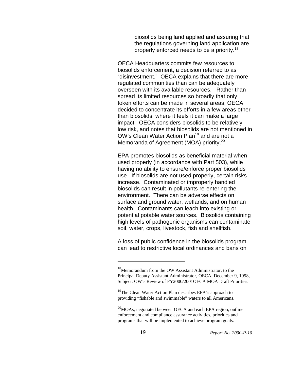biosolids being land applied and assuring that the regulations governing land application are properly enforced needs to be a priority.<sup>18</sup>

OECA Headquarters commits few resources to biosolids enforcement, a decision referred to as "disinvestment." OECA explains that there are more regulated communities than can be adequately overseen with its available resources. Rather than spread its limited resources so broadly that only token efforts can be made in several areas, OECA decided to concentrate its efforts in a few areas other than biosolids, where it feels it can make a large impact. OECA considers biosolids to be relatively low risk, and notes that biosolids are not mentioned in OW's Clean Water Action Plan<sup>19</sup> and are not a Memoranda of Agreement (MOA) priority.<sup>20</sup>

EPA promotes biosolids as beneficial material when used properly (in accordance with Part 503), while having no ability to ensure/enforce proper biosolids use. If biosolids are not used properly, certain risks increase. Contaminated or improperly handled biosolids can result in pollutants re-entering the environment. There can be adverse effects on surface and ground water, wetlands, and on human health. Contaminants can leach into existing or potential potable water sources. Biosolids containing high levels of pathogenic organisms can contaminate soil, water, crops, livestock, fish and shellfish.

A loss of public confidence in the biosolids program can lead to restrictive local ordinances and bans on

<sup>&</sup>lt;sup>18</sup>Memorandum from the OW Assistant Administrator, to the Principal Deputy Assistant Administrator, OECA, December 9, 1998, Subject: OW's Review of FY2000/2001OECA MOA Draft Priorities.

<sup>&</sup>lt;sup>19</sup>The Clean Water Action Plan describes EPA's approach to providing "fishable and swimmable" waters to all Americans.

 $^{20}$ MOAs, negotiated between OECA and each EPA region, outline enforcement and compliance assurance activities, priorities and programs that will be implemented to achieve program goals.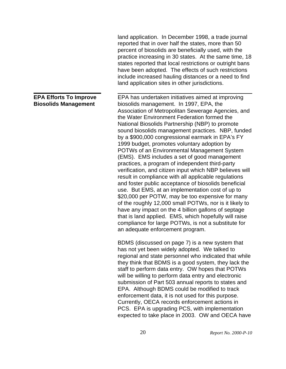land application. In December 1998, a trade journal reported that in over half the states, more than 50 percent of biosolids are beneficially used, with the practice increasing in 30 states. At the same time, 18 states reported that local restrictions or outright bans have been adopted. The effects of such restrictions include increased hauling distances or a need to find land application sites in other jurisdictions.

**EPA Efforts To Improve** EPA has undertaken initiatives aimed at improving **Biosolids Management** biosolids management. In 1997, EPA, the Association of Metropolitan Sewerage Agencies, and the Water Environment Federation formed the National Biosolids Partnership (NBP) to promote sound biosolids management practices. NBP, funded by a \$900,000 congressional earmark in EPA's FY 1999 budget, promotes voluntary adoption by POTWs of an Environmental Management System (EMS). EMS includes a set of good management practices, a program of independent third-party verification, and citizen input which NBP believes will result in compliance with all applicable regulations and foster public acceptance of biosolids beneficial use. But EMS, at an implementation cost of up to \$20,000 per POTW, may be too expensive for many of the roughly 12,000 small POTWs, nor is it likely to have any impact on the 4 billion gallons of septage that is land applied. EMS, which hopefully will raise compliance for large POTWs, is not a substitute for an adequate enforcement program.

> BDMS (discussed on page 7) is a new system that has not yet been widely adopted. We talked to regional and state personnel who indicated that while they think that BDMS is a good system, they lack the staff to perform data entry. OW hopes that POTWs will be willing to perform data entry and electronic submission of Part 503 annual reports to states and EPA. Although BDMS could be modified to track enforcement data, it is not used for this purpose. Currently, OECA records enforcement actions in PCS. EPA is upgrading PCS, with implementation expected to take place in 2003. OW and OECA have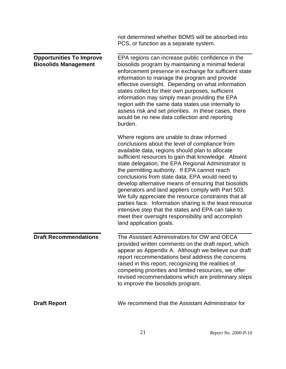not determined whether BDMS will be absorbed into PCS, or function as a separate system.

| <b>Opportunities To Improve</b><br><b>Biosolids Management</b> | EPA regions can increase public confidence in the<br>biosolids program by maintaining a minimal federal<br>enforcement presence in exchange for sufficient state<br>information to manage the program and provide<br>effective oversight. Depending on what information<br>states collect for their own purposes, sufficient<br>information may simply mean providing the EPA<br>region with the same data states use internally to<br>assess risk and set priorities. In these cases, there<br>would be no new data collection and reporting<br>burden.                                                                                                                                                                                 |
|----------------------------------------------------------------|------------------------------------------------------------------------------------------------------------------------------------------------------------------------------------------------------------------------------------------------------------------------------------------------------------------------------------------------------------------------------------------------------------------------------------------------------------------------------------------------------------------------------------------------------------------------------------------------------------------------------------------------------------------------------------------------------------------------------------------|
|                                                                | Where regions are unable to draw informed<br>conclusions about the level of compliance from<br>available data, regions should plan to allocate<br>sufficient resources to gain that knowledge. Absent<br>state delegation, the EPA Regional Administrator is<br>the permitting authority. If EPA cannot reach<br>conclusions from state data, EPA would need to<br>develop alternative means of ensuring that biosolids<br>generators and land appliers comply with Part 503.<br>We fully appreciate the resource constraints that all<br>parties face. Information sharing is the least resource<br>intensive step that the states and EPA can take to<br>meet their oversight responsibility and accomplish<br>land application goals. |
| <b>Draft Recommendations</b>                                   | The Assistant Administrators for OW and OECA<br>provided written comments on the draft report, which<br>appear as Appendix A. Although we believe our draft<br>report recommendations best address the concerns<br>raised in this report, recognizing the realities of<br>competing priorities and limited resources, we offer<br>revised recommendations which are preliminary steps<br>to improve the biosolids program.                                                                                                                                                                                                                                                                                                               |
| <b>Draft Report</b>                                            | We recommend that the Assistant Administrator for                                                                                                                                                                                                                                                                                                                                                                                                                                                                                                                                                                                                                                                                                        |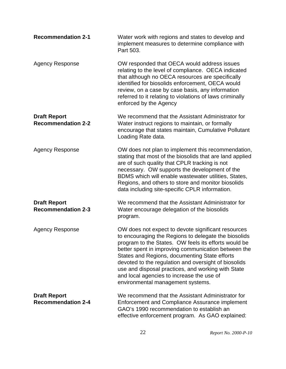| <b>Recommendation 2-1</b>                        | Water work with regions and states to develop and<br>implement measures to determine compliance with<br>Part 503.                                                                                                                                                                                                                                                                                                                                                          |
|--------------------------------------------------|----------------------------------------------------------------------------------------------------------------------------------------------------------------------------------------------------------------------------------------------------------------------------------------------------------------------------------------------------------------------------------------------------------------------------------------------------------------------------|
| <b>Agency Response</b>                           | OW responded that OECA would address issues<br>relating to the level of compliance. OECA indicated<br>that although no OECA resources are specifically<br>identified for biosolids enforcement, OECA would<br>review, on a case by case basis, any information<br>referred to it relating to violations of laws criminally<br>enforced by the Agency                                                                                                                       |
| <b>Draft Report</b><br><b>Recommendation 2-2</b> | We recommend that the Assistant Administrator for<br>Water instruct regions to maintain, or formally<br>encourage that states maintain, Cumulative Pollutant<br>Loading Rate data.                                                                                                                                                                                                                                                                                         |
| <b>Agency Response</b>                           | OW does not plan to implement this recommendation,<br>stating that most of the biosolids that are land applied<br>are of such quality that CPLR tracking is not<br>necessary. OW supports the development of the<br>BDMS which will enable wastewater utilities, States,<br>Regions, and others to store and monitor biosolids<br>data including site-specific CPLR information.                                                                                           |
| <b>Draft Report</b><br><b>Recommendation 2-3</b> | We recommend that the Assistant Administrator for<br>Water encourage delegation of the biosolids<br>program.                                                                                                                                                                                                                                                                                                                                                               |
| <b>Agency Response</b>                           | OW does not expect to devote significant resources<br>to encouraging the Regions to delegate the biosolids<br>program to the States. OW feels its efforts would be<br>better spent in improving communication between the<br>States and Regions, documenting State efforts<br>devoted to the regulation and oversight of biosolids<br>use and disposal practices, and working with State<br>and local agencies to increase the use of<br>environmental management systems. |
| <b>Draft Report</b><br><b>Recommendation 2-4</b> | We recommend that the Assistant Administrator for<br>Enforcement and Compliance Assurance implement<br>GAO's 1990 recommendation to establish an<br>effective enforcement program. As GAO explained:                                                                                                                                                                                                                                                                       |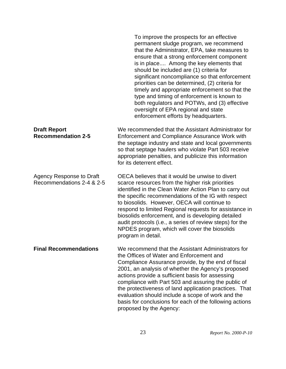|                                                              | To improve the prospects for an effective<br>permanent sludge program, we recommend<br>that the Administrator, EPA, take measures to<br>ensure that a strong enforcement component<br>is in place Among the key elements that<br>should be included are (1) criteria for<br>significant noncompliance so that enforcement<br>priorities can be determined, (2) criteria for<br>timely and appropriate enforcement so that the<br>type and timing of enforcement is known to<br>both regulators and POTWs, and (3) effective<br>oversight of EPA regional and state<br>enforcement efforts by headquarters. |
|--------------------------------------------------------------|------------------------------------------------------------------------------------------------------------------------------------------------------------------------------------------------------------------------------------------------------------------------------------------------------------------------------------------------------------------------------------------------------------------------------------------------------------------------------------------------------------------------------------------------------------------------------------------------------------|
| <b>Draft Report</b><br><b>Recommendation 2-5</b>             | We recommended that the Assistant Administrator for<br><b>Enforcement and Compliance Assurance Work with</b><br>the septage industry and state and local governments<br>so that septage haulers who violate Part 503 receive<br>appropriate penalties, and publicize this information<br>for its deterrent effect.                                                                                                                                                                                                                                                                                         |
| <b>Agency Response to Draft</b><br>Recommendations 2-4 & 2-5 | OECA believes that it would be unwise to divert<br>scarce resources from the higher risk priorities<br>identified in the Clean Water Action Plan to carry out<br>the specific recommendations of the IG with respect<br>to biosolids. However, OECA will continue to<br>respond to limited Regional requests for assistance in<br>biosolids enforcement, and is developing detailed<br>audit protocols (i.e., a series of review steps) for the<br>NPDES program, which will cover the biosolids<br>program in detail.                                                                                     |
| <b>Final Recommendations</b>                                 | We recommend that the Assistant Administrators for<br>the Offices of Water and Enforcement and<br>Compliance Assurance provide, by the end of fiscal<br>2001, an analysis of whether the Agency's proposed<br>actions provide a sufficient basis for assessing<br>compliance with Part 503 and assuring the public of<br>the protectiveness of land application practices. That<br>evaluation should include a scope of work and the<br>basis for conclusions for each of the following actions<br>proposed by the Agency:                                                                                 |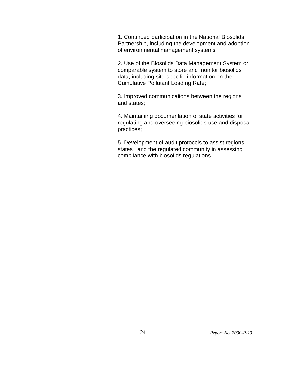1. Continued participation in the National Biosolids Partnership, including the development and adoption of environmental management systems;

2. Use of the Biosolids Data Management System or comparable system to store and monitor biosolids data, including site-specific information on the Cumulative Pollutant Loading Rate;

3. Improved communications between the regions and states;

4. Maintaining documentation of state activities for regulating and overseeing biosolids use and disposal practices;

5. Development of audit protocols to assist regions, states , and the regulated community in assessing compliance with biosolids regulations.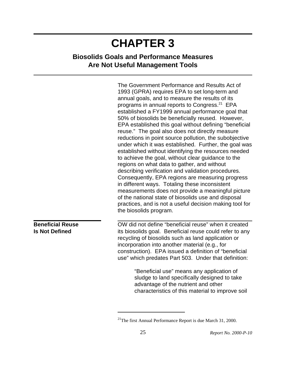# **CHAPTER 3**

# **Biosolids Goals and Performance Measures Are Not Useful Management Tools**

|                                                  | The Government Performance and Results Act of<br>1993 (GPRA) requires EPA to set long-term and<br>annual goals, and to measure the results of its<br>programs in annual reports to Congress. <sup>21</sup> EPA<br>established a FY1999 annual performance goal that<br>50% of biosolids be beneficially reused. However,<br>EPA established this goal without defining "beneficial<br>reuse." The goal also does not directly measure<br>reductions in point source pollution, the subobjective<br>under which it was established. Further, the goal was<br>established without identifying the resources needed<br>to achieve the goal, without clear guidance to the<br>regions on what data to gather, and without<br>describing verification and validation procedures.<br>Consequently, EPA regions are measuring progress<br>in different ways. Totaling these inconsistent<br>measurements does not provide a meaningful picture<br>of the national state of biosolids use and disposal<br>practices, and is not a useful decision making tool for<br>the biosolids program. |
|--------------------------------------------------|-------------------------------------------------------------------------------------------------------------------------------------------------------------------------------------------------------------------------------------------------------------------------------------------------------------------------------------------------------------------------------------------------------------------------------------------------------------------------------------------------------------------------------------------------------------------------------------------------------------------------------------------------------------------------------------------------------------------------------------------------------------------------------------------------------------------------------------------------------------------------------------------------------------------------------------------------------------------------------------------------------------------------------------------------------------------------------------|
| <b>Beneficial Reuse</b><br><b>Is Not Defined</b> | OW did not define "beneficial reuse" when it created<br>its biosolids goal. Beneficial reuse could refer to any<br>recycling of biosolids such as land application or<br>incorporation into another material (e.g., for<br>construction). EPA issued a definition of "beneficial<br>use" which predates Part 503. Under that definition:                                                                                                                                                                                                                                                                                                                                                                                                                                                                                                                                                                                                                                                                                                                                            |
|                                                  | "Beneficial use" means any application of<br>sludge to land specifically designed to take<br>advantage of the nutrient and other<br>characteristics of this material to improve soil                                                                                                                                                                                                                                                                                                                                                                                                                                                                                                                                                                                                                                                                                                                                                                                                                                                                                                |

<sup>21</sup>The first Annual Performance Report is due March 31, 2000.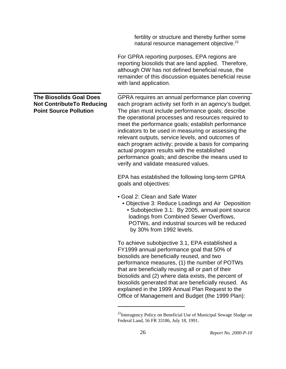fertility or structure and thereby further some natural resource management objective.<sup>22</sup>

For GPRA reporting purposes, EPA regions are reporting biosolids that are land applied. Therefore, although OW has not defined beneficial reuse, the remainder of this discussion equates beneficial reuse with land application.

**The Biosolids Goal Does** GPRA requires an annual performance plan covering **Not ContributeTo Reducing** each program activity set forth in an agency's budget. **Point Source Pollution** The plan must include performance goals; describe the operational processes and resources required to meet the performance goals; establish performance indicators to be used in measuring or assessing the relevant outputs, service levels, and outcomes of each program activity; provide a basis for comparing actual program results with the established performance goals; and describe the means used to verify and validate measured values.

> EPA has established the following long-term GPRA goals and objectives:

- Goal 2: Clean and Safe Water
	- Objective 3: Reduce Loadings and Air Deposition • Subobjective 3.1: By 2005, annual point source loadings from Combined Sewer Overflows, POTWs, and industrial sources will be reduced by 30% from 1992 levels.

To achieve subobjective 3.1, EPA established a FY1999 annual performance goal that 50% of biosolids are beneficially reused, and two performance measures, (1) the number of POTWs that are beneficially reusing all or part of their biosolids and (2) where data exists, the percent of biosolids generated that are beneficially reused. As explained in the 1999 Annual Plan Request to the Office of Management and Budget (the 1999 Plan):

### 26 *Report No. 2000-P-10*

 $^{22}$ Interagency Policy on Beneficial Use of Municipal Sewage Sludge on Federal Land, 56 FR 33186, July 18, 1991.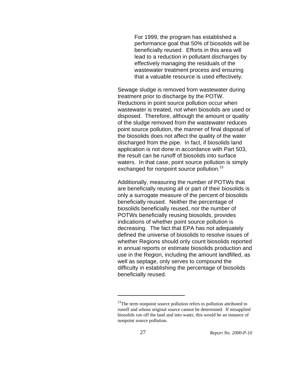For 1999, the program has established a performance goal that 50% of biosolids will be beneficially reused. Efforts in this area will lead to a reduction in pollutant discharges by effectively managing the residuals of the wastewater treatment process and ensuring that a valuable resource is used effectively.

Sewage sludge is removed from wastewater during treatment prior to discharge by the POTW. Reductions in point source pollution occur when wastewater is treated, not when biosolids are used or disposed. Therefore, although the amount or quality of the sludge removed from the wastewater reduces point source pollution, the manner of final disposal of the biosolids does not affect the quality of the water discharged from the pipe. In fact, if biosolids land application is not done in accordance with Part 503, the result can be runoff of biosolids into surface waters. In that case, point source pollution is simply exchanged for nonpoint source pollution.<sup>23</sup>

Additionally, measuring the number of POTWs that are beneficially reusing all or part of their biosolids is only a surrogate measure of the percent of biosolids beneficially reused. Neither the percentage of biosolids beneficially reused, nor the number of POTWs beneficially reusing biosolids, provides indications of whether point source pollution is decreasing. The fact that EPA has not adequately defined the universe of biosolids to resolve issues of whether Regions should only count biosolids reported in annual reports or estimate biosolids production and use in the Region, including the amount landfilled, as well as septage, only serves to compound the difficulty in establishing the percentage of biosolids beneficially reused.

 $^{23}$ The term nonpoint source pollution refers to pollution attributed to runoff and whose original source cannot be determined. If misapplied biosolids run off the land and into water, this would be an instance of nonpoint source pollution.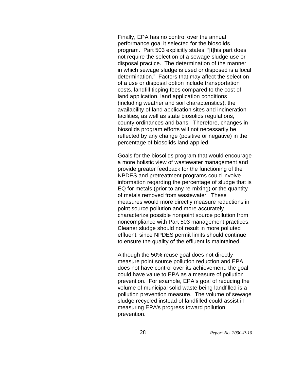Finally, EPA has no control over the annual performance goal it selected for the biosolids program. Part 503 explicitly states, "[t]his part does not require the selection of a sewage sludge use or disposal practice. The determination of the manner in which sewage sludge is used or disposed is a local determination." Factors that may affect the selection of a use or disposal option include transportation costs, landfill tipping fees compared to the cost of land application, land application conditions (including weather and soil characteristics), the availability of land application sites and incineration facilities, as well as state biosolids regulations, county ordinances and bans. Therefore, changes in biosolids program efforts will not necessarily be reflected by any change (positive or negative) in the percentage of biosolids land applied.

Goals for the biosolids program that would encourage a more holistic view of wastewater management and provide greater feedback for the functioning of the NPDES and pretreatment programs could involve information regarding the percentage of sludge that is EQ for metals (prior to any re-mixing) or the quantity of metals removed from wastewater. These measures would more directly measure reductions in point source pollution and more accurately characterize possible nonpoint source pollution from noncompliance with Part 503 management practices. Cleaner sludge should not result in more polluted effluent, since NPDES permit limits should continue to ensure the quality of the effluent is maintained.

Although the 50% reuse goal does not directly measure point source pollution reduction and EPA does not have control over its achievement, the goal could have value to EPA as a measure of pollution prevention. For example, EPA's goal of reducing the volume of municipal solid waste being landfilled is a pollution prevention measure. The volume of sewage sludge recycled instead of landfilled could assist in measuring EPA's progress toward pollution prevention.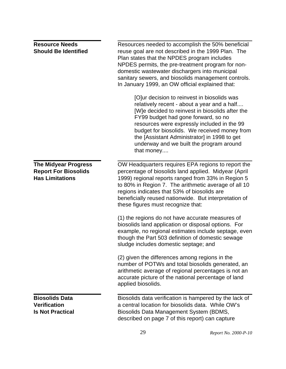| <b>Resource Needs</b><br><b>Should Be Identified</b>                                 | Resources needed to accomplish the 50% beneficial<br>reuse goal are not described in the 1999 Plan. The<br>Plan states that the NPDES program includes<br>NPDES permits, the pre-treatment program for non-<br>domestic wastewater dischargers into municipal<br>sanitary sewers, and biosolids management controls.<br>In January 1999, an OW official explained that:                       |  |
|--------------------------------------------------------------------------------------|-----------------------------------------------------------------------------------------------------------------------------------------------------------------------------------------------------------------------------------------------------------------------------------------------------------------------------------------------------------------------------------------------|--|
|                                                                                      | [O]ur decision to reinvest in biosolids was<br>relatively recent - about a year and a half<br>[W]e decided to reinvest in biosolids after the<br>FY99 budget had gone forward, so no<br>resources were expressly included in the 99<br>budget for biosolids. We received money from<br>the [Assistant Administrator] in 1998 to get<br>underway and we built the program around<br>that money |  |
| <b>The Midyear Progress</b><br><b>Report For Biosolids</b><br><b>Has Limitations</b> | OW Headquarters requires EPA regions to report the<br>percentage of biosolids land applied. Midyear (April<br>1999) regional reports ranged from 33% in Region 5<br>to 80% in Region 7. The arithmetic average of all 10<br>regions indicates that 53% of biosolids are<br>beneficially reused nationwide. But interpretation of<br>these figures must recognize that:                        |  |
|                                                                                      | (1) the regions do not have accurate measures of<br>biosolids land application or disposal options. For<br>example, no regional estimates include septage, even<br>though the Part 503 definition of domestic sewage<br>sludge includes domestic septage; and                                                                                                                                 |  |
|                                                                                      | (2) given the differences among regions in the<br>number of POTWs and total biosolids generated, an<br>arithmetic average of regional percentages is not an<br>accurate picture of the national percentage of land<br>applied biosolids.                                                                                                                                                      |  |
| <b>Biosolids Data</b><br><b>Verification</b><br><b>Is Not Practical</b>              | Biosolids data verification is hampered by the lack of<br>a central location for biosolids data. While OW's<br>Biosolids Data Management System (BDMS,<br>described on page 7 of this report) can capture                                                                                                                                                                                     |  |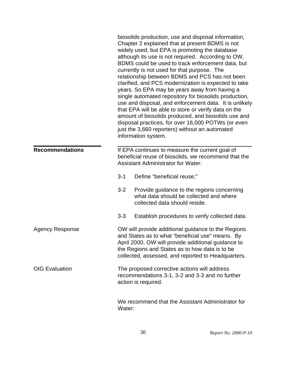|                        | biosolids production, use and disposal information,<br>Chapter 2 explained that at present BDMS is not<br>widely used, but EPA is promoting the database<br>although its use is not required. According to OW,<br>BDMS could be used to track enforcement data, but<br>currently is not used for that purpose. The<br>relationship between BDMS and PCS has not been<br>clarified, and PCS modernization is expected to take<br>years. So EPA may be years away from having a<br>single automated repository for biosolids production,<br>use and disposal, and enforcement data. It is unlikely<br>that EPA will be able to store or verify data on the<br>amount of biosolids produced, and biosolids use and<br>disposal practices, for over 16,000 POTWs (or even<br>just the 3,660 reporters) without an automated<br>information system. |                                                                                                                                                      |
|------------------------|------------------------------------------------------------------------------------------------------------------------------------------------------------------------------------------------------------------------------------------------------------------------------------------------------------------------------------------------------------------------------------------------------------------------------------------------------------------------------------------------------------------------------------------------------------------------------------------------------------------------------------------------------------------------------------------------------------------------------------------------------------------------------------------------------------------------------------------------|------------------------------------------------------------------------------------------------------------------------------------------------------|
| <b>Recommendations</b> |                                                                                                                                                                                                                                                                                                                                                                                                                                                                                                                                                                                                                                                                                                                                                                                                                                                | If EPA continues to measure the current goal of<br>beneficial reuse of biosolids, we recommend that the<br><b>Assistant Administrator for Water:</b> |
|                        | $3 - 1$                                                                                                                                                                                                                                                                                                                                                                                                                                                                                                                                                                                                                                                                                                                                                                                                                                        | Define "beneficial reuse;"                                                                                                                           |
|                        | $3 - 2$                                                                                                                                                                                                                                                                                                                                                                                                                                                                                                                                                                                                                                                                                                                                                                                                                                        | Provide guidance to the regions concerning<br>what data should be collected and where<br>collected data should reside.                               |
|                        | $3 - 3$                                                                                                                                                                                                                                                                                                                                                                                                                                                                                                                                                                                                                                                                                                                                                                                                                                        | Establish procedures to verify collected data.                                                                                                       |
| <b>Agency Response</b> | OW will provide additional guidance to the Regions<br>and States as to what "beneficial use" means. By<br>April 2000, OW will provide additional guidance to<br>the Regions and States as to how data is to be<br>collected, assessed, and reported to Headquarters.                                                                                                                                                                                                                                                                                                                                                                                                                                                                                                                                                                           |                                                                                                                                                      |
| <b>OIG Evaluation</b>  |                                                                                                                                                                                                                                                                                                                                                                                                                                                                                                                                                                                                                                                                                                                                                                                                                                                | The proposed corrective actions will address<br>recommendations 3-1, 3-2 and 3-3 and no further<br>action is required.                               |
|                        | Water:                                                                                                                                                                                                                                                                                                                                                                                                                                                                                                                                                                                                                                                                                                                                                                                                                                         | We recommend that the Assistant Administrator for                                                                                                    |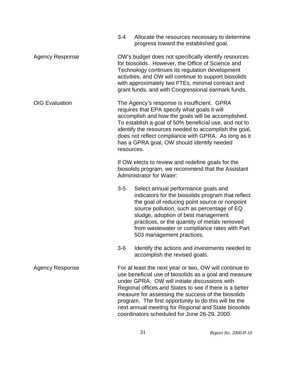- 3-4 Allocate the resources necessary to determine progress toward the established goal.
- Agency Response OW's budget does not specifically identify resources for biosolids. However, the Office of Science and Technology continues its regulation development activities, and OW will continue to support biosolids with approximately two FTEs, minimal contract and grant funds, and with Congressional earmark funds.
- OIG Evaluation The Agency's response is insufficient. GPRA requires that EPA specify what goals it will accomplish and how the goals will be accomplished. To establish a goal of 50% beneficial use, and not to identify the resources needed to accomplish the goal, does not reflect compliance with GPRA. As long as it has a GPRA goal, OW should identify needed resources.

If OW elects to review and redefine goals for the biosolids program, we recommend that the Assistant Administrator for Water:

- 3-5 Select annual performance goals and indicators for the biosolids program that reflect the goal of reducing point source or nonpoint source pollution, such as percentage of EQ sludge, adoption of best management practices, or the quantity of metals removed from wastewater or compliance rates with Part 503 management practices.
- 3-6 Identify the actions and investments needed to accomplish the revised goals.

Agency Response **For at least the next year or two, OW will continue to** use beneficial use of biosolids as a goal and measure under GPRA. OW will initiate discussions with Regional offices and States to see if there is a better measure for assessing the success of the biosolids program. The first opportunity to do this will be the next annual meeting for Regional and State biosolids coordinators scheduled for June 26-29, 2000.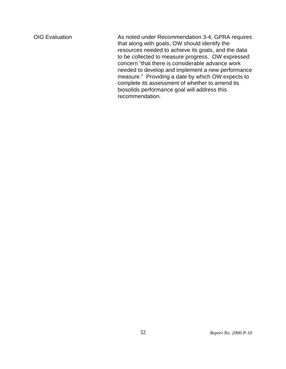OIG Evaluation **As noted under Recommendation 3-4, GPRA requires** that along with goals, OW should identify the resources needed to achieve its goals, and the data to be collected to measure progress. OW expressed concern "that there is considerable advance work needed to develop and implement a new performance measure." Providing a date by which OW expects to complete its assessment of whether to amend its biosolids performance goal will address this recommendation.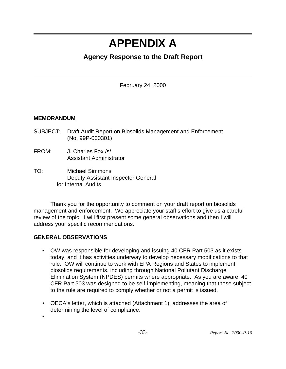# **APPENDIX A**

# **Agency Response to the Draft Report**

February 24, 2000

### **MEMORANDUM**

- SUBJECT: Draft Audit Report on Biosolids Management and Enforcement (No. 99P-000301)
- FROM: J. Charles Fox /s/ Assistant Administrator
- TO: Michael Simmons Deputy Assistant Inspector General for Internal Audits

Thank you for the opportunity to comment on your draft report on biosolids management and enforcement. We appreciate your staff's effort to give us a careful review of the topic. I will first present some general observations and then I will address your specific recommendations.

## **GENERAL OBSERVATIONS**

- OW was responsible for developing and issuing 40 CFR Part 503 as it exists today, and it has activities underway to develop necessary modifications to that rule. OW will continue to work with EPA Regions and States to implement biosolids requirements, including through National Pollutant Discharge Elimination System (NPDES) permits where appropriate. As you are aware, 40 CFR Part 503 was designed to be self-implementing, meaning that those subject to the rule are required to comply whether or not a permit is issued.
- OECA's letter, which is attached (Attachment 1), addresses the area of determining the level of compliance.

•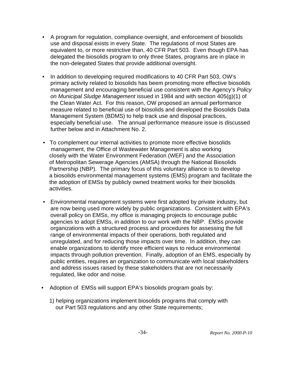- A program for regulation, compliance oversight, and enforcement of biosolids use and disposal exists in every State. The regulations of most States are equivalent to, or more restrictive than, 40 CFR Part 503. Even though EPA has delegated the biosolids program to only three States, programs are in place in the non-delegated States that provide additional oversight.
- In addition to developing required modifications to 40 CFR Part 503, OW's primary activity related to biosolids has beem promoting more effective biosolids management and encouraging beneficial use consistent with the Agency's *Policy on Municipal Sludge Management* issued in 1984 and with section 405(g)(1) of the Clean Water Act. For this reason, OW proposed an annual performance measure related to beneficial use of biosolids and developed the Biosolids Data Management System (BDMS) to help track use and disposal practices, especially beneficial use. The annual performance measure issue is discussed further below and in Attachment No. 2.
- To complement our internal activities to promote more effective biosolids management, the Office of Wastewater Management is also working closely with the Water Environment Federation (WEF) and the Association of Metropolitan Sewerage Agencies (AMSA) through the National Biosolids Partnership (NBP). The primary focus of this voluntary alliance is to develop a biosolids environmental management systems (EMS) program and facilitate the the adoption of EMSs by publicly owned treatment works for their biosolids activities.
- Environmental management systems were first adopted by private industry, but are now being used more widely by public organizations. Consistent with EPA's overall policy on EMSs, my office is managing projects to encourage public agencies to adopt EMSs, in addition to our work with the NBP. EMSs provide organizations with a structured process and procedures for assessing the full range of environmental impacts of their operations, both regulated and unregulated, and for reducing those impacts over time. In addition, they can enable organizations to identify more efficient ways to reduce environmental impacts through pollution prevention. Finally, adoption of an EMS, especially by public entities, requires an organization to communicate with local stakeholders and address issues raised by these stakeholders that are not necessarily regulated, like odor and noise.
- Adoption of EMSs will support EPA's biosolids program goals by:
	- 1) helping organizations implement biosolids programs that comply with our Part 503 regulations and any other State requirements;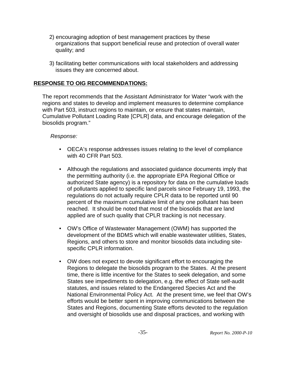- 2) encouraging adoption of best management practices by these organizations that support beneficial reuse and protection of overall water quality; and
- 3) facilitating better communications with local stakeholders and addressing issues they are concerned about.

## **RESPONSE TO OIG RECOMMENDATIONS:**

The report recommends that the Assistant Administrator for Water "work with the regions and states to develop and implement measures to determine compliance with Part 503, instruct regions to maintain, or ensure that states maintain, Cumulative Pollutant Loading Rate [CPLR] data, and encourage delegation of the biosolids program."

## *Response:*

- OECA's response addresses issues relating to the level of compliance with 40 CFR Part 503.
- Although the regulations and associated guidance documents imply that the permitting authority (i.e. the appropriate EPA Regional Office or authorized State agency) is a repository for data on the cumulative loads of pollutants applied to specific land parcels since February 19, 1993, the regulations do not actually require CPLR data to be reported until 90 percent of the maximum cumulative limit of any one pollutant has been reached. It should be noted that most of the biosolids that are land applied are of such quality that CPLR tracking is not necessary.
- OW's Office of Wastewater Management (OWM) has supported the development of the BDMS which will enable wastewater utilities, States, Regions, and others to store and monitor biosolids data including sitespecific CPLR information.
- OW does not expect to devote significant effort to encouraging the Regions to delegate the biosolids program to the States. At the present time, there is little incentive for the States to seek delegation, and some States see impediments to delegation, e.g. the effect of State self-audit statutes, and issues related to the Endangered Species Act and the National Environmental Policy Act. At the present time, we feel that OW's efforts would be better spent in improving communications between the States and Regions, documenting State efforts devoted to the regulation and oversight of biosolids use and disposal practices, and working with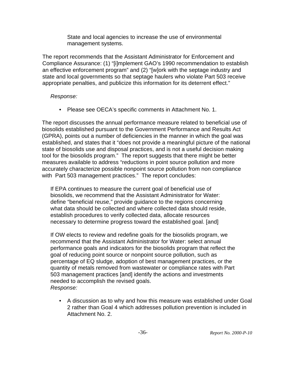State and local agencies to increase the use of environmental management systems.

The report recommends that the Assistant Administrator for Enforcement and Compliance Assurance: (1) "[i]mplement GAO's 1990 recommendation to establish an effective enforcement program" and (2) "[w]ork with the septage industry and state and local governments so that septage haulers who violate Part 503 receive appropriate penalties, and publicize this information for its deterrent effect."

## *Response:*

• Please see OECA's specific comments in Attachment No. 1.

The report discusses the annual performance measure related to beneficial use of biosolids established pursuant to the Government Performance and Results Act (GPRA), points out a number of deficiencies in the manner in which the goal was established, and states that it "does not provide a meaningful picture of the national state of biosolids use and disposal practices, and is not a useful decision making tool for the biosolids program." The report suggests that there might be better measures available to address "reductions in point source pollution and more accurately characterize possible nonpoint source pollution from non compliance with Part 503 management practices." The report concludes:

If EPA continues to measure the current goal of beneficial use of biosolids, we recommend that the Assistant Administrator for Water: define "beneficial reuse," provide guidance to the regions concerning what data should be collected and where collected data should reside, establish procedures to verify collected data, allocate resources necessary to determine progress toward the established goal. [and]

If OW elects to review and redefine goals for the biosolids program, we recommend that the Assistant Administrator for Water: select annual performance goals and indicators for the biosolids program that reflect the goal of reducing point source or nonpoint source pollution, such as percentage of EQ sludge, adoption of best management practices, or the quantity of metals removed from wastewater or compliance rates with Part 503 management practices [and] identify the actions and investments needed to accomplish the revised goals. *Response:*

• A discussion as to why and how this measure was established under Goal 2 rather than Goal 4 which addresses pollution prevention is included in Attachment No. 2.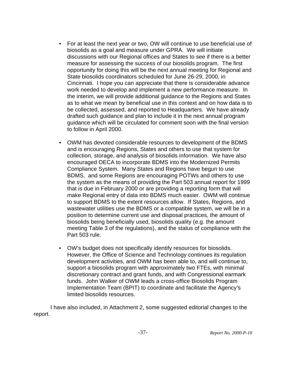- For at least the next year or two, OW will continue to use beneficial use of biosolids as a goal and measure under GPRA. We will initiate discussions with our Regional offices and States to see if there is a better measure for assessing the success of our biosolids program. The first opportunity for doing this will be the next annual meeting for Regional and State biosolids coordinators scheduled for June 26-29, 2000, in Cincinnati. I hope you can appreciate that there is considerable advance work needed to develop and implement a new performance measure. In the interim, we will provide additional guidance to the Regions and States as to what we mean by beneficial use in this context and on how data is to be collected, assessed, and reported to Headquarters. We have already drafted such guidance and plan to include it in the next annual program guidance which will be circulated for comment soon with the final version to follow in April 2000.
- OWM has devoted considerable resources to development of the BDMS and is encouraging Regions, States and others to use that system for collection, storage, and analysis of biosolids information. We have also encouraged OECA to incorporate BDMS into the Modernized Permits Compliance System. Many States and Regions have begun to use BDMS, and some Regions are encouraging POTWs and others to use the system as the means of providing the Part 503 annual report for 1999 that is due in February 2000 or are providing a reporting form that will make Regional entry of data into BDMS much easier. OWM will continue to support BDMS to the extent resources allow. If States, Regions, and wastewater utilities use the BDMS or a compatible system, we will be in a position to determine current use and disposal practices, the amount of biosolids being beneficially used, biosolids quality (e.g. the amount meeting Table 3 of the regulations), and the status of compliance with the Part 503 rule.
- OW's budget does not specifically identify resources for biosolids. However, the Office of Science and Technology continues its regulation development activities, and OWM has been able to, and will continue to, support a biosolids program with approximately two FTEs, with minimal discretionary contract and grant funds, and with Congressional earmark funds. John Walker of OWM leads a cross-office Biosolids Program Implementation Team (BPIT) to coordinate and facilitate the Agency's limited biosolids resources.

I have also included, in Attachment 2, some suggested editorial changes to the report.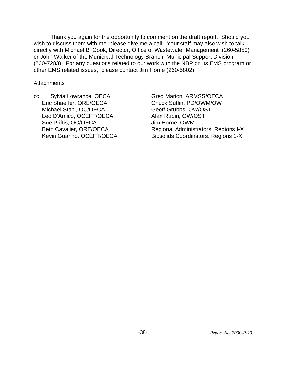Thank you again for the opportunity to comment on the draft report. Should you wish to discuss them with me, please give me a call. Your staff may also wish to talk directly with Michael B. Cook, Director, Office of Wastewater Management (260-5850), or John Walker of the Municipal Technology Branch, Municipal Support Division (260-7283). For any questions related to our work with the NBP on its EMS program or other EMS related issues, please contact Jim Horne (260-5802).

### **Attachments**

cc: Sylvia Lowrance, OECA Eric Shaeffer, ORE/OECA Michael Stahl, OC/OECA Leo D'Amico, OCEFT/OECA Sue Priftis, OC/OECA Beth Cavalier, ORE/OECA Kevin Guarino, OCEFT/OECA

Greg Marion, ARMSS/OECA Chuck Sutfin, PD/OWM/OW Geoff Grubbs, OW/OST Alan Rubin, OW/OST Jim Horne, OWM Regional Administrators, Regions I-X Biosolids Coordinators, Regions 1-X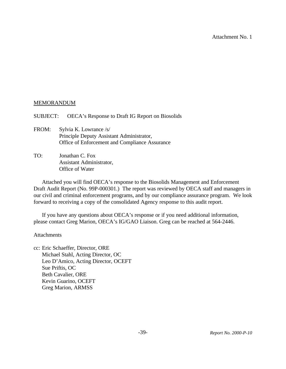Attachment No. 1

### MEMORANDUM

SUBJECT: OECA's Response to Draft IG Report on Biosolids

FROM: Sylvia K. Lowrance /s/ Principle Deputy Assistant Administrator, Office of Enforcement and Compliance Assurance

TO: Jonathan C. Fox Assistant Administrator, Office of Water

Attached you will find OECA's response to the Biosolids Management and Enforcement Draft Audit Report (No. 99P-000301.) The report was reviewed by OECA staff and managers in our civil and criminal enforcement programs, and by our compliance assurance program. We look forward to receiving a copy of the consolidated Agency response to this audit report.

If you have any questions about OECA's response or if you need additional information, please contact Greg Marion, OECA's IG/GAO Liaison. Greg can be reached at 564-2446.

**Attachments** 

cc: Eric Schaeffer, Director, ORE Michael Stahl, Acting Director, OC Leo D'Amico, Acting Director, OCEFT Sue Priftis, OC Beth Cavalier, ORE Kevin Guarino, OCEFT Greg Marion, ARMSS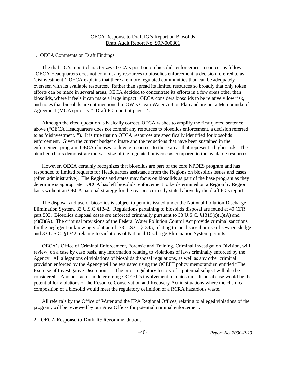### OECA Response to Draft IG's Report on Biosolids Draft Audit Report No. 99P-000301

### 1. OECA Comments on Draft Findings

The draft IG's report characterizes OECA's position on biosolids enforcement resources as follows: "OECA Headquarters does not commit any resources to biosolids enforcement, a decision referred to as 'disinvestment.' OECA explains that there are more regulated communities than can be adequately overseen with its available resources. Rather than spread its limited resources so broadly that only token efforts can be made in several areas, OECA decided to concentrate its efforts in a few areas other than biosolids, where it feels it can make a large impact. OECA considers biosolids to be relatively low risk, and notes that biosolids are not mentioned in OW's Clean Water Action Plan and are not a Memoranda of Agreement (MOA) priority." Draft IG report at page 14.

 Although the cited quotation is basically correct, OECA wishes to amplify the first quoted sentence above ("OECA Headquarters does not commit any resources to biosolids enforcement, a decision referred to as 'disinvestment.'"). It is true that no OECA resources are specifically identified for biosolids enforcement. Given the current budget climate and the reductions that have been sustained in the enforcement program, OECA chooses to devote resources to those areas that represent a higher risk. The attached charts demonstrate the vast size of the regulated universe as compared to the available resources.

However, OECA certainly recognizes that biosolids are part of the core NPDES program and has responded to limited requests for Headquarters assistance from the Regions on biosolids issues and cases (often administrative). The Regions and states may focus on biosolids as part of the base program as they determine is appropriate. OECA has left biosolids enforcement to be determined on a Region by Region basis without an OECA national strategy for the reasons correctly stated above by the draft IG's report.

The disposal and use of biosolids is subject to permits issued under the National Pollution Discharge Elimination System, 33 U.S.C.§1342. Regulations pertaining to biosolids disposal are found at 40 CFR part 503. Biosolids disposal cases are enforced criminally pursuant to 33 U.S.C. §1319(c)(1)(A) and (c)(2)(A). The criminal provisions of the Federal Water Pollution Control Act provide criminal sanctions for the negligent or knowing violation of 33 U.S.C. §1345, relating to the disposal or use of sewage sludge and 33 U.S.C. §1342, relating to violations of National Discharge Elimination System permits.

OECA's Office of Criminal Enforcement, Forensic and Training, Criminal Investigation Division, will review, on a case by case basis, any information relating to violations of laws criminally enforced by the Agency. All allegations of violations of biosolids disposal regulations, as well as any other criminal provision enforced by the Agency will be evaluated using the OCEFT policy memorandum entitled "The Exercise of Investigative Discretion." The prior regulatory history of a potential subject will also be considered. Another factor in determining OCEFT's involvement in a biosolids disposal case would be the potential for violations of the Resource Conservation and Recovery Act in situations where the chemical composition of a biosolid would meet the regulatory definition of a RCRA hazardous waste.

All referrals by the Office of Water and the EPA Regional Offices, relating to alleged violations of the program, will be reviewed by our Area Offices for potential criminal enforcement.

### 2. OECA Response to Draft IG Recommendations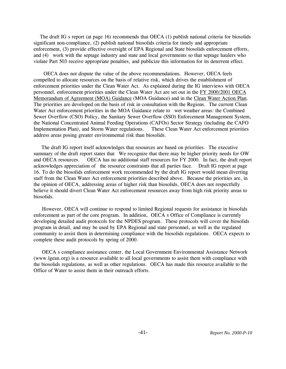The draft IG s report (at page 16) recommends that  $OECA$  (1) publish national criteria for biosolids significant non-compliance, (2) publish national biosolids criteria for timely and appropriate enforcement, (3) provide effective oversight of EPA Regional and State biosolids enforcement efforts, and (4) work with the septage industry and state and local governments so that septage haulers who violate Part 503 receive appropriate penalties, and publicize this information for its deterrent effect."

 OECA does not dispute the value of the above recommendations. However, OECA feels compelled to allocate resources on the basis of relative risk, which drives the establishment of enforcement priorities under the Clean Water Act. As explained during the IG interviews with OECA personnel, enforcement priorities under the Clean Water Act are set out in the FY 2000/2001 OECA Memorandum of Agreement (MOA) Guidance (MOA Guidance) and in the Clean Water Action Plan. The priorities are developed on the basis of risk in consultation with the Regions. The current Clean Water Act enforcement priorities in the MOA Guidance relate to wet weather areas: the Combined Sewer Overflow (CSO) Policy, the Sanitary Sewer Overflow (SSO) Enforcement Management System, the National Concentrated Animal Feeding Operations (CAFOs) Sector Strategy (including the CAFO Implementation Plan), and Storm Water regulations." These Clean Water Act enforcement priorities address areas posing greater environmental risk than biosolids.

 The draft IG report itself acknowledges that resources are based on priorities. The executive summary of the draft report states that We recognize that there may be higher priority needs for OW and OECA resources. OECA has no additional staff resources for FY 2000. In fact, the draft report acknowledges appreciation of the resource constraints that all parties face. Draft IG report at page 16. To do the biosolids enforcement work recommended by the draft IG report would mean diverting staff from the Clean Water Act enforcement priorities described above. Because the priorities are, in the opinion of OECA, addressing areas of higher risk than biosolids, OECA does not respectfully believe it should divert Clean Water Act enforcement resources away from high risk priority areas to biosolids.

However, OECA will continue to respond to limited Regional requests for assistance in biosolids enforcement as part of the core program. In addition, OECA's Office of Compliance is currently developing detailed audit protocols for the NPDES program. These protocols will cover the biosolids program in detail, and may be used by EPA Regional and state personnel, as well as the regulated community to assist them in determining compliance with the biosolids regulations. OECA expects to complete these audit protocols by spring of 2000.

OECA's compliance assistance center, the Local Government Environmental Assistance Network (www.lgean.org) is a resource available to all local governments to assist them with compliance with the biosolids regulations, as well as other regulations. OECA has made this resource available to the Office of Water to assist them in their outreach efforts.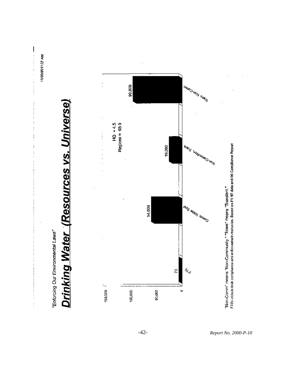

-42- *Report No. 2000-P-10*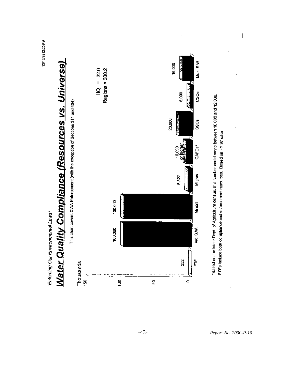

"Enforcing Our Environmental Laws"

12/13/9912:20 PM

FTEs include both compliance and enforcement resources. Based on FY 97 data

 $\overline{\phantom{a}}$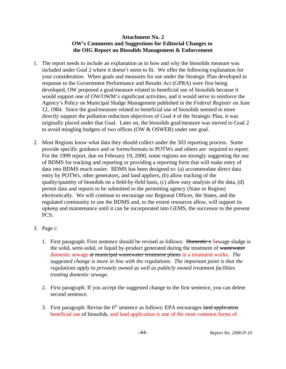### **Attachment No. 2 OW's Comments and Suggestions for Editorial Changes to the OIG Report on Biosolids Management & Enforcement**

- 1. The report needs to include an explanation as to how and why the biosolids measure was included under Goal 2 where it doesn't seem to fit. We offer the following explanation for your consideration. When goals and measures for use under the Strategic Plan developed in response to the Government Performance and Results Act (GPRA) were first being developed, OW proposed a goal/measure related to beneficial use of biosolids because it would support one of OW/OWM's significant activities, and it would serve to reinforce the Agency's Policy on Municipal Sludge Management published in the *Federal Register* on June 12, 1984. Since the goal/measure related to beneficial use of biosolids seemed to more directly support the pollution reduction objectives of Goal 4 of the Strategic Plan, it was originally placed under that Goal. Later on, the biosolids goal/measure was moved to Goal 2 to avoid mingling budgets of two offices (OW & OSWER) under one goal.
- 2. Most Regions know what data they should collect under the 503 reporting process. Some provide specific guidance and or forms/formats to POTWs and others are required to report. For the 1999 report, due on February 19, 2000, some regions are strongly suggesting the use of BDMS for tracking and reporting or providing a reporting form that will make entry of data into BDMS much easier. BDMS has been designed to: (a) accommodate direct data entry by POTWs, other generators, and land appliers, (b) allow tracking of the quality/quantity of biosolids on a field-by-field basis, (c) allow easy analysis of the data, (d) permit data and reports to be submitted to the permitting agency (State or Region) electronically. We will continue to encourage our Regional Offices, the States, and the regulated community to use the BDMS and, to the extent resources allow, will support its upkeep and maintenance until it can be incorporated into GEMS, the successor to the present PCS.
- 3. Page i:
	- 1. First paragraph: First sentence should be revised as follows: Domestic s Sewage sludge is the solid, semi-solid, or liquid by-product generated during the treatment of wastewater domestic sewage at municipal wastewater treatment plants in a treatment works. *The suggested change is more in line with the regulations. The important point is that the regulations apply to privately owned as well as publicly owned treatment facilities treating domestic sewage*.
	- 2. First paragraph: If you accept the suggested change to the first sentence, you can delete second sentence.
	- 3. First paragraph: Revise the  $6<sup>th</sup>$  sentence as follows: EPA encourages land application beneficial use of biosolids, and land application is one of the most common forms of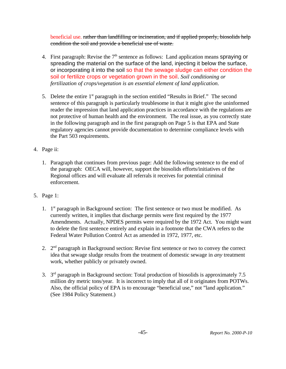beneficial use. rather than landfilling or incineration, and if applied properly, biosolids help condition the soil and provide a beneficial use of waste.

- 4. First paragraph: Revise the  $7<sup>th</sup>$  sentence as follows: Land application means spraying or spreading the material on the surface of the land, injecting it below the surface, or incorporating it into the soil so that the sewage sludge can either condition the soil or fertilize crops or vegetation grown in the soil. *Soil conditioning or fertilization of crops/vegetation is an essential element of land application*.
- 5. Delete the entire  $1<sup>st</sup>$  paragraph in the section entitled "Results in Brief." The second sentence of this paragraph is particularly troublesome in that it might give the uninformed reader the impression that land application practices in accordance with the regulations are not protective of human health and the environment. The real issue, as you correctly state in the following paragraph and in the first paragraph on Page 5 is that EPA and State regulatory agencies cannot provide documentation to determine compliance levels with the Part 503 requirements.
- 4. Page ii:
	- 1. Paragraph that continues from previous page: Add the following sentence to the end of the paragraph: OECA will, however, support the biosolids efforts/initiatives of the Regional offices and will evaluate all referrals it receives for potential criminal enforcement.
- 5. Page 1:
	- 1. 1<sup>st</sup> paragraph in Background section: The first sentence or two must be modified. As currently written, it implies that discharge permits were first required by the 1977 Amendments. Actually, NPDES permits were required by the 1972 Act. You might want to delete the first sentence entirely and explain in a footnote that the CWA refers to the Federal Water Pollution Control Act as amended in 1972, 1977, etc.
	- 2.  $2<sup>nd</sup>$  paragraph in Background section: Revise first sentence or two to convey the correct idea that sewage sludge results from the treatment of domestic sewage in *any* treatment work, whether publicly or privately owned.
	- 3. 3<sup>rd</sup> paragraph in Background section: Total production of biosolids is approximately 7.5 million dry metric tons/year. It is incorrect to imply that all of it originates from POTWs. Also, the official policy of EPA is to encourage "beneficial use," not "land application." (See 1984 Policy Statement.)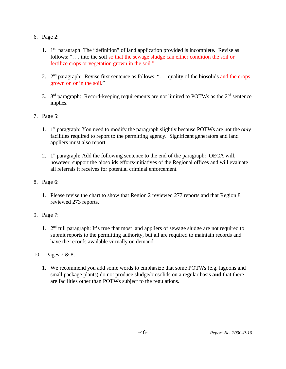- 6. Page 2:
	- 1. 1<sup>st</sup> paragraph: The "definition" of land application provided is incomplete. Revise as follows: "... into the soil so that the sewage sludge can either condition the soil or fertilize crops or vegetation grown in the soil."
	- 2.  $2^{nd}$  paragraph: Revise first sentence as follows: "... quality of the biosolids and the crops grown on or in the soil."
	- 3.  $3<sup>rd</sup>$  paragraph: Record-keeping requirements are not limited to POTWs as the  $2<sup>nd</sup>$  sentence implies.
- 7. Page 5:
	- 1. 1 st paragraph: You need to modify the paragraph slightly because POTWs are not the *only* facilities required to report to the permitting agency. Significant generators and land appliers must also report.
	- 2.  $1<sup>st</sup>$  paragraph: Add the following sentence to the end of the paragraph: OECA will, however, support the biosolids efforts/initiatives of the Regional offices and will evaluate all referrals it receives for potential criminal enforcement.
- 8. Page 6:
	- 1. Please revise the chart to show that Region 2 reviewed 277 reports and that Region 8 reviewed 273 reports.
- 9. Page 7:
	- 1.  $2<sup>nd</sup>$  full paragraph: It's true that most land appliers of sewage sludge are not required to submit reports to the permitting authority, but all are required to maintain records and have the records available virtually on demand.
- 10. Pages 7 & 8:
	- 1. We recommend you add some words to emphasize that some POTWs (e.g. lagoons and small package plants) do not produce sludge/biosolids on a regular basis **and** that there are facilities other than POTWs subject to the regulations.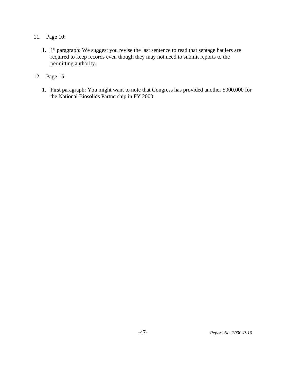- 11. Page 10:
	- 1. 1<sup>st</sup> paragraph: We suggest you revise the last sentence to read that septage haulers are required to keep records even though they may not need to submit reports to the permitting authority.
- 12. Page 15:
	- 1. First paragraph: You might want to note that Congress has provided another \$900,000 for the National Biosolids Partnership in FY 2000.